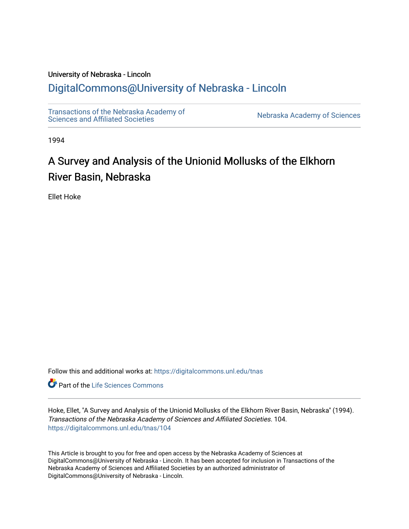# University of Nebraska - Lincoln [DigitalCommons@University of Nebraska - Lincoln](https://digitalcommons.unl.edu/)

[Transactions of the Nebraska Academy of](https://digitalcommons.unl.edu/tnas)  Transactions of the Nebraska Academy of Sciences<br>Sciences and Affiliated Societies

1994

# A Survey and Analysis of the Unionid Mollusks of the Elkhorn River Basin, Nebraska

Ellet Hoke

Follow this and additional works at: [https://digitalcommons.unl.edu/tnas](https://digitalcommons.unl.edu/tnas?utm_source=digitalcommons.unl.edu%2Ftnas%2F104&utm_medium=PDF&utm_campaign=PDFCoverPages) 

**Part of the Life Sciences Commons** 

Hoke, Ellet, "A Survey and Analysis of the Unionid Mollusks of the Elkhorn River Basin, Nebraska" (1994). Transactions of the Nebraska Academy of Sciences and Affiliated Societies. 104. [https://digitalcommons.unl.edu/tnas/104](https://digitalcommons.unl.edu/tnas/104?utm_source=digitalcommons.unl.edu%2Ftnas%2F104&utm_medium=PDF&utm_campaign=PDFCoverPages) 

This Article is brought to you for free and open access by the Nebraska Academy of Sciences at DigitalCommons@University of Nebraska - Lincoln. It has been accepted for inclusion in Transactions of the Nebraska Academy of Sciences and Affiliated Societies by an authorized administrator of DigitalCommons@University of Nebraska - Lincoln.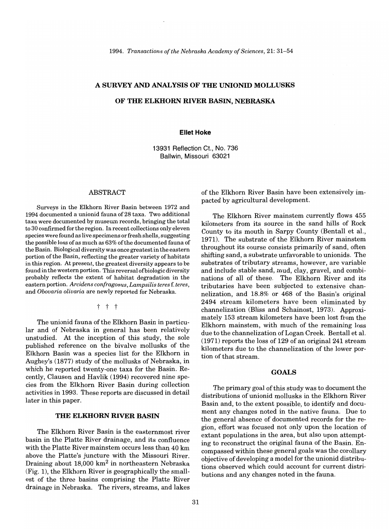#### A **SURVEY AND ANALYSIS OF THE UNIONID MOLLUSKS**

#### **OF THE ELKHORN RIVER BASIN, NEBRASKA**

#### **Ellet Hoke**

13931 Reflection Ct., No. 736 Ballwin, Missouri 63021

#### ABSTRACT

Surveys in the Elkhorn River Basin between 1972 and 1994 documented a unionid fauna of28 taxa. Two additional taxa were documented by museum records, bringing the total to 30 confirmed for the region. In recent collections only eleven species were found as live specimens or fresh shells, suggesting the possible loss of as much as 63% ofthe documented fauna of the Basin. Biological diversity was once greatest in the eastern portion of the Basin, reflecting the greater variety of habitats in this region. At present, the greatest diversity appears to be found in the western portion. This reversal of biologic diversity probably reflects the extent of habitat degradation in the eastern portion. *Arcidens confragosus, Lampsilis teres* f. *teres,*  and *Obovaria olivaria* are newly reported for Nebraska.

t t t

The unionid fauna of the Elkhorn Basin in particular and of Nebraska in general has been relatively unstudied. At the inception of this study, the sole published reference on the bivalve mollusks of the Elkhorn Basin was a species list for the Elkhorn in Aughey's (1877) study of the mollusks of Nebraska, in which he reported twenty-one taxa for the Basin. Recently, Clausen and Havlik (1994) recovered nine species from the Elkhorn River Basin during collection activities in 1993. These reports are discussed in detail later in this paper.

# **THE ELKHORN RIVER BASIN**

The Elkhorn River Basin is the easternmost river basin in the Platte River drainage, and its confluence with the Platte River mainstem occurs less than 40 km above the Platte's juncture with the Missouri River. Draining about  $18,000 \text{ km}^2$  in northeastern Nebraska (Fig. 1), the Elkhorn River is geographically the smallest of the three basins comprising the Platte River drainage in Nebraska. The rivers, streams, and lakes of the Elkhorn River Basin have been extensively impacted by agricultural development.

The Elkhorn River mainstem currently flows 455 kilometers from its source in the sand hills of Rock County to its mouth in Sarpy County (Bentall et aI., 1971). The substrate of the Elkhorn River mainstem throughout its course consists primarily of sand, often shifting sand, a substrate unfavorable to unionids. The substrates of tributary streams, however, are variable and include stable sand, mud, clay, gravel, and combinations of all of these. The Elkhorn River and its tributaries have been subjected to extensive channelization, and 18.8% or 468 of the Basin's original 2494 stream kilometers have been eliminated by channelization (Bliss and Schainost, 1973). Approximately 153 stream kilometers have been lost from the Elkhorn mainstem, with much of the remaining loss due to the channelization of Logan Creek. Bentall et al. (1971) reports the loss of 129 of an original 241 stream kilometers due to the channelization of the lower portion of that stream.

# **GOALS**

The primary goal of this study was to document the distributions of unionid mollusks in the Elkhorn River Basin and, to the extent possible, to identify and document any changes noted in the native fauna. Due to the general absence of documented records for the region, effort was focused not only upon the location of extant populations in the area, but also upon attempting to reconstruct the original fauna of the Basin. Encompassed within these general goals was the corollary objective of developing a model for the unionid distributions observed which could account for current distributions and any changes noted in the fauna.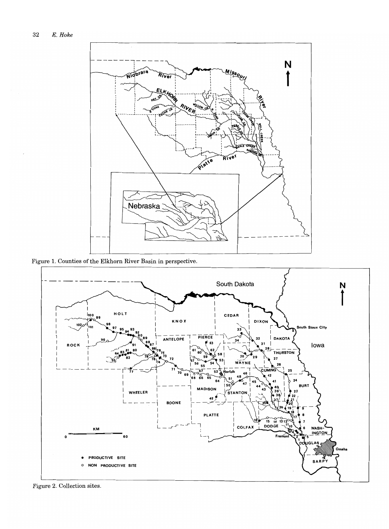

 $\quad$  Figure 1. Counties of the Elkhorn River Basin in perspective.



Figure 2. Collection sites.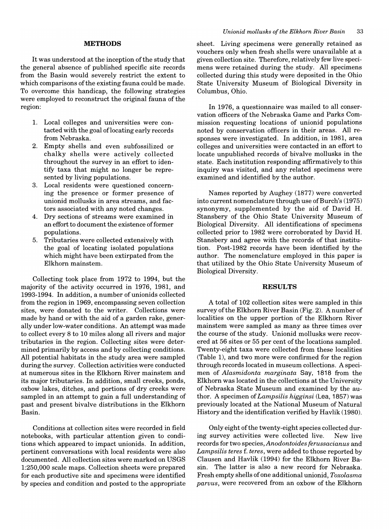#### **METHODS**

It was understood at the inception of the study that the general absence of published specific site records from the Basin would severely restrict the extent to which comparisons of the existing fauna could be made. To overcome this handicap, the following strategies were employed to reconstruct the original fauna of the region:

- 1. Local colleges and universities were contacted with the goal oflocating early records from Nebraska.
- 2. Empty shells and even subfossilized or chalky shells were actively collected throughout the survey in an effort to identify taxa that might no longer be represented by living populations.
- 3. Local residents were questioned concerning the presence or former presence of unionid mollusks in area streams, and factors associated with any noted changes.
- 4. Dry sections of streams were examined in an effort to document the existence of former populations.
- 5. Tributaries were collected extensively with the goal of locating isolated populations which might have been extirpated from the Elkhorn mainstem.

Collecting took place from 1972 to 1994, but the majority of the activity occurred in 1976, 1981, and 1993-1994. In addition, a number of unionids collected from the region in 1969, encompassing seven collection sites, were donated to the writer. Collections were made by hand or with the aid of a garden rake, generally under low-water conditions. An attempt was made to collect every 8 to 10 miles along all rivers and major tributaries in the region. Collecting sites were determined primarily by access and by collecting conditions. All potential habitats in the study area were sampled during the survey. Collection activities were conducted at numerous sites in the Elkhorn River mainstem and its major tributaries. In addition, small creeks, ponds, oxbow lakes, ditches, and portions of dry creeks were sampled in an attempt to gain a full understanding of past and present bivalve distributions in the Elkhorn Basin.

Conditions at collection sites were recorded in field notebooks, with particular attention given to conditions which appeared to impact unionids. In addition, pertinent conversations with local residents were also documented. All collection sites were marked on USGS 1:250,000 scale maps. Collection sheets were prepared for each productive site and specimens were identified by species and condition and posted to the appropriate sheet. Living specimens were generally retained as vouchers only when fresh shells were unavailable at a given collection site. Therefore, relatively few live specimens were retained during the study. All specimens collected during this study were deposited in the Ohio State University Museum of Biological Diversity in Columbus, Ohio.

In 1976, a questionnaire was mailed to all conservation officers of the Nebraska Game and Parks Commission requesting locations of unionid populations noted by conservation officers in their areas. All responses were investigated. In addition, in 1981, area colleges and universities were contacted in an effort to locate unpublished records of bivalve mollusks in the state. Each institution responding affirmatively to this inquiry was visited, and any related specimens were examined and identified by the author.

Names reported by Aughey (1877) were converted into current nomenclature through use of Burch's (1975) synonymy, supplemented by the aid of David H. Stansbery of the Ohio State University Museum of Biological Diversity. All identifications of specimens collected prior to 1982 were corroborated by David H. Stansbery and agree with the records of that institution. Post-1982 records have been identified by the author. The nomenclature employed in this paper is that utilized by the Ohio State University Museum of Biological Diversity.

#### **RESULTS**

A total of 102 collection sites were sampled in this survey of the Elkhorn River Basin (Fig. 2). A number of localities on the upper portion of the Elkhorn River mainstem were sampled as many as three times over the course of the study. Unionid mollusks were recovered at 56 sites or 55 per cent of the locations sampled. Twenty-eight taxa were collected from these localities (Table 1), and two more were confirmed for the region through records located in museum collections. A specimen of *Alasmidonta marginata* Say, 1818 from the Elkhorn was located in the collections at the University of Nebraska State Museum and examined by the author. A specimen of *Lampsilis higginsi* (Lea, 1857) was previously located at the National Museum of Natural History and the identification verified by Havlik (1980).

Only eight of the twenty-eight species collected during survey activities were collected live. New live records for two species, *Anodontoides ferussacianus* and *Lampsilis teres* f. *teres,* were added to those reported by Clausen and Havlik (1994) for the Elkhorn River Basin. The latter is also a new record for Nebraska. Fresh empty shells of one additional unionid, *Toxolasma paruus,* were recovered from an oxbow of the Elkhorn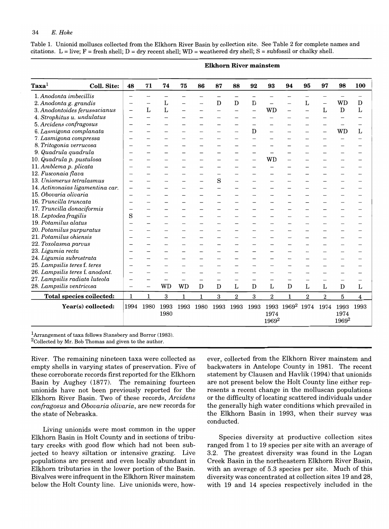Table 1. Unionid molluscs collected from the Elkhorn River Basin by collection site. See Table 2 for complete names and citations. L = live; F = fresh shell; D = dry recent shell; WD = weathered dry shell; S = subfossil or chalky shell.

| <b>Coll. Site:</b>              | 48                                                                                                                                                                                                                                                                                   | 71          | 74        | 75           | 86           | 87   | 88                       | 92                       | 93               | 94           | 95                              | 97                       | 98                       | 100                     |  |
|---------------------------------|--------------------------------------------------------------------------------------------------------------------------------------------------------------------------------------------------------------------------------------------------------------------------------------|-------------|-----------|--------------|--------------|------|--------------------------|--------------------------|------------------|--------------|---------------------------------|--------------------------|--------------------------|-------------------------|--|
| 1. Anodonta imbecillis          | -                                                                                                                                                                                                                                                                                    | —           |           |              |              |      | $\overline{\phantom{0}}$ | $\overline{\phantom{0}}$ |                  |              |                                 | $\overline{\phantom{0}}$ |                          |                         |  |
|                                 | $\overline{\phantom{0}}$                                                                                                                                                                                                                                                             | -           | L         |              |              | D    | D                        | D                        |                  |              | L                               | $\overline{\phantom{0}}$ | WD                       | D                       |  |
|                                 | $\overline{\phantom{0}}$                                                                                                                                                                                                                                                             | L           | L         |              |              |      |                          |                          | WD               |              |                                 | L                        | $\mathbf D$              | L                       |  |
|                                 | $\overline{\phantom{0}}$                                                                                                                                                                                                                                                             | $\equiv$    |           |              |              |      |                          |                          |                  |              |                                 |                          |                          |                         |  |
|                                 | $\overline{\phantom{0}}$                                                                                                                                                                                                                                                             |             |           |              |              |      |                          |                          |                  |              |                                 |                          |                          |                         |  |
| 6. Lasmigona complanata         | -                                                                                                                                                                                                                                                                                    |             |           |              |              |      |                          | D                        |                  |              |                                 |                          | WD                       | L                       |  |
|                                 | $\overline{\phantom{0}}$                                                                                                                                                                                                                                                             |             |           |              |              |      |                          |                          |                  |              |                                 |                          |                          |                         |  |
| 8. Tritogonia verrucosa         | $\overline{\phantom{0}}$                                                                                                                                                                                                                                                             |             |           |              |              |      |                          |                          |                  |              |                                 |                          |                          |                         |  |
|                                 | $\overline{\phantom{0}}$                                                                                                                                                                                                                                                             |             |           |              |              |      |                          |                          |                  |              |                                 |                          |                          |                         |  |
|                                 | -                                                                                                                                                                                                                                                                                    |             |           |              |              |      |                          |                          | WD               |              |                                 |                          |                          |                         |  |
|                                 | —                                                                                                                                                                                                                                                                                    |             |           |              |              |      |                          |                          |                  |              |                                 |                          |                          |                         |  |
|                                 | -                                                                                                                                                                                                                                                                                    |             |           |              |              |      |                          |                          |                  |              |                                 |                          |                          |                         |  |
| 13. Uniomerus tetralasmus       | $\overline{\phantom{0}}$                                                                                                                                                                                                                                                             |             |           |              |              |      |                          |                          |                  |              |                                 |                          |                          |                         |  |
|                                 | $\equiv$                                                                                                                                                                                                                                                                             |             |           |              |              |      |                          |                          |                  |              |                                 |                          |                          |                         |  |
| 15. Obovaria olivaria           | -                                                                                                                                                                                                                                                                                    |             |           |              |              |      |                          |                          |                  |              |                                 |                          |                          |                         |  |
| 16. Truncilla truncata          | -                                                                                                                                                                                                                                                                                    |             |           |              |              |      |                          |                          |                  |              |                                 |                          |                          |                         |  |
| 17. Truncilla donaciformis      | -                                                                                                                                                                                                                                                                                    |             |           |              |              |      |                          |                          |                  |              |                                 |                          |                          |                         |  |
| 18. Leptodea fragilis           | S                                                                                                                                                                                                                                                                                    |             |           |              |              |      |                          |                          |                  |              |                                 |                          |                          |                         |  |
| 19. Potamilus alatus            | $\overline{\phantom{0}}$                                                                                                                                                                                                                                                             |             |           |              |              |      |                          |                          |                  |              |                                 |                          |                          |                         |  |
| 20. Potamilus purpuratus        | $\overline{\phantom{0}}$                                                                                                                                                                                                                                                             |             |           |              |              |      |                          |                          |                  |              |                                 |                          |                          |                         |  |
| 21. Potamilus ohiensis          | $\overline{\phantom{0}}$                                                                                                                                                                                                                                                             |             |           |              |              |      |                          |                          |                  |              |                                 |                          |                          |                         |  |
| 22. Toxolasma parvus            |                                                                                                                                                                                                                                                                                      |             |           |              |              |      |                          |                          |                  |              |                                 |                          |                          |                         |  |
|                                 |                                                                                                                                                                                                                                                                                      |             |           |              |              |      |                          |                          |                  |              |                                 |                          |                          |                         |  |
| 24. Ligumia subrostrata         |                                                                                                                                                                                                                                                                                      |             |           |              |              |      |                          |                          |                  |              |                                 |                          |                          |                         |  |
| 25. Lampsilis teres f. teres    | $\overline{\phantom{0}}$                                                                                                                                                                                                                                                             |             |           |              |              |      |                          |                          |                  |              |                                 |                          |                          |                         |  |
| 26. Lampsilis teres f. anodont. |                                                                                                                                                                                                                                                                                      |             |           |              |              |      |                          |                          |                  |              |                                 |                          |                          |                         |  |
| 27. Lampsilis radiata luteola   | --                                                                                                                                                                                                                                                                                   |             |           | ÷.           |              |      |                          |                          |                  |              |                                 |                          | $\overline{\phantom{0}}$ |                         |  |
| 28. Lampsilis ventricosa        | $\overline{\phantom{0}}$                                                                                                                                                                                                                                                             |             | <b>WD</b> | <b>WD</b>    | $\mathbf{D}$ | D    | L.                       | D                        | L                | $\mathbf{D}$ | L                               | L                        | D                        | L                       |  |
| <b>Total species collected:</b> | $\mathbf{1}$                                                                                                                                                                                                                                                                         | $\mathbf 1$ | 3         | $\mathbf{1}$ | $\mathbf{1}$ | 3    | $\boldsymbol{2}$         | 3                        | $\boldsymbol{2}$ | $\mathbf{1}$ | $\overline{2}$                  | $\overline{2}$           | 5                        | $\overline{\mathbf{4}}$ |  |
| Year(s) collected:              | 1994                                                                                                                                                                                                                                                                                 | 1980        | 1993      | 1993         | 1980         | 1993 | 1993                     | 1993                     |                  |              | 1974                            | 1974                     | 1993                     | 1993                    |  |
|                                 |                                                                                                                                                                                                                                                                                      |             |           |              |              |      |                          |                          |                  |              |                                 |                          | 1974                     |                         |  |
|                                 | 2. Anodonta g. grandis<br>3. Anodontoides ferussacianus<br>4. Strophitus u. undulatus<br>5. Arcidens confragosus<br>7. Lasmigona compressa<br>9. Quadrula quadrula<br>10. Quadrula p. pustulosa<br>11. Amblema p. plicata<br>12. Fusconaia flava<br>14. Actinonaias ligamentina car. |             |           | 1980         |              |      | S                        |                          |                  | 1974         | 1993 1969 <sup>2</sup><br>19692 |                          |                          | 19692                   |  |

Elkhorn River main stem

 ${}^{1}$ Arrangement of taxa follows Stansbery and Borror (1983). 2Collected by Mr. Bob Thomas and given to the author.

River. The remaining nineteen taxa were collected as empty shells in varying states of preservation. Five of these corroborate records first reported for the Elkhorn Basin by Aughey (1877). The remaining fourteen unionids have not been previously reported for the Elkhorn River Basin. Two of these records, *Arcidens confragosus* and *Obovaria olivaria,* are new records for the state of Nebraska.

Living unionids were most common in the upper Elkhorn Basin in Holt County and in sections of tributary creeks with good flow which had not been subjected to heavy siltation or intensive grazing. Live populations are present and even locally abundant in Elkhorn tributaries in the lower portion of the Basin. Bivalves were infrequent in the Elkhorn River mainstem below the Holt County line. Live unionids were, however, collected from the Elkhorn River mainstem and backwaters in Antelope County in 1981. The recent statement by Clausen and Havlik (1994) that unionids are not present below the Holt County line either represents a recent change in the molluscan populations or the difficulty of locating scattered individuals under the generally high water conditions which prevailed in the Elkhorn Basin in 1993, when their survey was conducted.

Species diversity at productive collection sites ranged from 1 to 19 species per site with an average of 3.2. The greatest diversity was found in the Logan Creek Basin in the northeastern Elkhorn River Basin, with an average of 5.3 species per site. Much of this diversity was concentrated at collection sites 19 and 28, with 19 and 14 species respectively included in the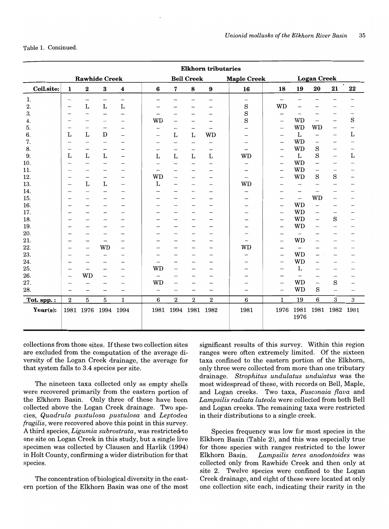Table 1. Continued.

|             |                          |                          |                          |                          |                          |                          |                          | <b>Elkhorn tributaries</b> |                          |                          |                          |                          |                          |           |
|-------------|--------------------------|--------------------------|--------------------------|--------------------------|--------------------------|--------------------------|--------------------------|----------------------------|--------------------------|--------------------------|--------------------------|--------------------------|--------------------------|-----------|
|             |                          |                          | <b>Rawhide Creek</b>     |                          |                          |                          | <b>Bell Creek</b>        |                            | <b>Maple Creek</b>       |                          |                          | <b>Logan Creek</b>       |                          |           |
| Coll.site:  | 1                        | $\bf 2$                  | $\bf{3}$                 | 4                        | $6\phantom{1}6$          | 7                        | $\bf 8$                  | 9                          | 16                       | 18                       | 19                       | 20                       | 21                       | $\bf{22}$ |
| 1.          | $\qquad \qquad -$        | $\qquad \qquad -$        | -                        | -                        | $\qquad \qquad$          |                          | -                        | —                          | $\overline{\phantom{0}}$ | —                        |                          |                          |                          |           |
| 2.          | $\overline{\phantom{m}}$ | $\mathbf L$              | $\mathbf L$              | $\mathbf L$              | -                        |                          |                          |                            | $\rm S$                  | <b>WD</b>                |                          |                          |                          |           |
| 3.          | -                        | $\overline{\phantom{0}}$ | $\overline{\phantom{0}}$ | $\overline{\phantom{0}}$ |                          | -                        | -                        |                            | $\rm S$                  | $\overline{\phantom{0}}$ | $\overline{\phantom{0}}$ |                          |                          |           |
| 4.          |                          |                          |                          |                          | <b>WD</b>                | $\overline{\phantom{m}}$ |                          |                            | S                        |                          | WD                       |                          |                          | S         |
| 5.          | -                        | —                        | $\overline{\phantom{0}}$ |                          | —                        | -                        | —                        |                            |                          | $\overline{\phantom{0}}$ | <b>WD</b>                | WD                       | $\overline{\phantom{0}}$ | -         |
| 6.          | L                        | $\mathbf L$              | ${\bf D}$                | —                        | $\overline{\phantom{0}}$ | L                        | $\mathbf{L}$             | <b>WD</b>                  |                          |                          | L                        |                          | $\overline{\phantom{0}}$ | L         |
| 7.          | $\overline{\phantom{0}}$ | $\overline{\phantom{0}}$ | $\overline{\phantom{0}}$ |                          | —                        |                          | -                        |                            |                          | $\overline{\phantom{0}}$ | <b>WD</b>                | $\overline{\phantom{0}}$ | -                        |           |
| 8.          |                          | —                        | $\overline{\phantom{0}}$ |                          |                          | $\overline{\phantom{m}}$ | -                        |                            |                          | $\overline{\phantom{0}}$ | <b>WD</b>                | S                        | $\overline{\phantom{0}}$ |           |
| 9.          | $\mathbf{L}$             | $\mathbf{L}$             | $\mathbf L$              | $\overline{\phantom{0}}$ | $\mathbf{L}$             | $\Gamma$                 | $\mathbf{L}$             | L                          | <b>WD</b>                |                          | L                        | $\rm S$                  | $\qquad \qquad -$        | L         |
| 10.         |                          | —                        |                          |                          | -                        |                          | —                        |                            |                          | $\overline{\phantom{a}}$ | <b>WD</b>                |                          |                          |           |
| 11.         | Ξ.                       |                          |                          |                          | -                        |                          |                          |                            |                          | $\overline{\phantom{0}}$ | <b>WD</b>                |                          | $\overline{\phantom{0}}$ |           |
| 12.         | $\overline{\phantom{0}}$ | —                        |                          | -                        | WD                       | $\overline{\phantom{0}}$ | $\overline{\phantom{0}}$ |                            | $\overline{\phantom{0}}$ |                          | <b>WD</b>                | S                        | S                        |           |
| 13.         |                          | L                        | L                        | $\overline{\phantom{0}}$ | L                        | $\overline{\phantom{0}}$ | $\overline{\phantom{0}}$ | $\overline{\phantom{0}}$   | <b>WD</b>                |                          | $\overline{\phantom{0}}$ |                          |                          |           |
| 14.         | -                        | -                        | $\overline{\phantom{0}}$ |                          |                          |                          |                          | -                          |                          |                          | $\overline{\phantom{0}}$ |                          |                          |           |
| 15.         | -                        |                          |                          |                          |                          |                          |                          |                            |                          | $\overline{\phantom{0}}$ | $\overline{\phantom{m}}$ | WD                       |                          |           |
| 16.         |                          |                          |                          |                          |                          |                          |                          | $\overline{\phantom{0}}$   |                          | $\overline{\phantom{0}}$ | WD                       | $\overline{\phantom{0}}$ |                          |           |
| 17.         |                          |                          |                          |                          |                          |                          |                          |                            |                          |                          | <b>WD</b>                |                          |                          |           |
| 18.         |                          |                          |                          |                          |                          |                          |                          |                            |                          | $\qquad \qquad -$        | WD                       | $\overline{\phantom{0}}$ | S                        |           |
| 19.         |                          |                          |                          |                          |                          |                          |                          |                            |                          | $\overline{\phantom{0}}$ | WD                       |                          |                          |           |
| 20.         |                          |                          |                          |                          |                          |                          |                          |                            |                          | -                        | $\overline{\phantom{m}}$ |                          |                          |           |
| 21.         |                          |                          | —                        |                          |                          |                          |                          |                            |                          | -                        | WD                       |                          |                          |           |
| 22.         |                          | -                        | <b>WD</b>                |                          |                          |                          |                          | -                          | <b>WD</b>                | $\overline{\phantom{0}}$ |                          |                          |                          |           |
| 23.         | -                        | $\overline{\phantom{0}}$ | $\overline{\phantom{0}}$ |                          |                          |                          |                          |                            |                          |                          | <b>WD</b>                |                          |                          |           |
| 24.         |                          | $\overline{\phantom{0}}$ |                          |                          |                          |                          |                          | $\overline{\phantom{0}}$   |                          | $\overline{\phantom{0}}$ | <b>WD</b>                |                          |                          |           |
| 25.         | --                       |                          |                          |                          | <b>WD</b>                | —                        |                          |                            |                          |                          | L                        |                          |                          |           |
| 26.         | -                        | <b>WD</b>                | -                        |                          |                          |                          |                          |                            |                          |                          | $\overline{\phantom{0}}$ |                          |                          |           |
| 27.         |                          |                          |                          |                          | <b>WD</b>                |                          |                          |                            |                          | $\overline{\phantom{0}}$ | <b>WD</b>                |                          | S                        |           |
| 28.         | -                        |                          |                          | $\overline{\phantom{0}}$ | $\overline{\phantom{0}}$ |                          |                          |                            |                          | $\overline{\phantom{0}}$ | <b>WD</b>                | S                        |                          | -         |
| Tot. spp.:  | $\boldsymbol{2}$         | 5                        | 5                        | $\mathbf{1}$             | $\boldsymbol{6}$         | $\boldsymbol{2}$         | $\overline{2}$           | $\,2$                      | $\bf 6$                  | $\mathbf{1}$             | 19                       | 6                        | 3                        | 3         |
| $Year(s)$ : |                          | 1981 1976                |                          | 1994 1994                | 1981                     |                          | 1994 1981 1982           |                            | 1981                     | 1976                     | 1981<br>1976             |                          | 1981 1982                | 1981      |

collections from those sites. Ifthese two collection sites are excluded from the computation of the average diversity of the Logan Creek drainage, the average for that system falls to 3.4 species per site.

The nineteen taxa collected only as empty shells were recovered primarily from the eastern portion of the Elkhorn Basin. Only three of these have been collected above the Logan Creek drainage. Two species, *Quadrula pustulosa pustulosa* and *Leptodea fragilis,* were recovered above this point in this survey. A third species, *Ligumia subrostrata,* was restricted-to one site on Logan Creek in this study, but a single live specimen was collected by Clausen and Havlik (1994) in Holt County, confirming a wider distribution for that species.

The concentration of biological diversity in the eastern portion of the Elkhorn Basin was one of the most significant results of this survey. Within this region ranges were often extremely limited. Of the sixteen taxa confined to the eastern portion of the Elkhorn, only three were collected from more than one tributary drainage. *Strophitus undulatus undulatus* was the most widespread of these, with records on Bell, Maple, and Logan creeks. Two taxa, *Fusconaia {lava* and *Lampsilis radiata luteola* were collected from both Bell and Logan creeks. The remaining taxa were restricted in their distributions to a single creek.

Species frequency was low for most species in the Elkhorn Basin (Table 2), and this was especially true for those species with ranges restricted to the lower Elkhorn Basin. *Lampsilis teres anodontoides* was collected only from Rawhide Creek and then only at site 2. Twelve species were confined to the Logan Creek drainage, and eight of these were located at only one collection site each, indicating their rarity in the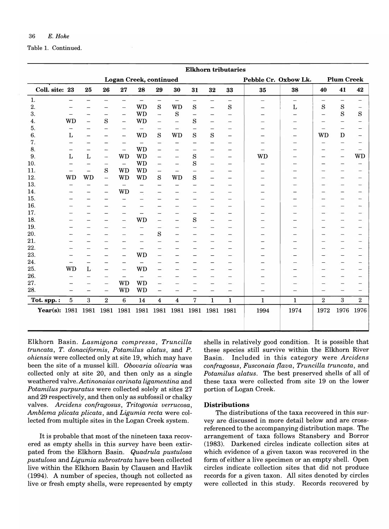Table 1. Continued.

|                    |                          |                          |                          |                               |                          |                          |                          |                          |                          | <b>Elkhorn tributaries</b> |                          |                          |                |                          |                          |
|--------------------|--------------------------|--------------------------|--------------------------|-------------------------------|--------------------------|--------------------------|--------------------------|--------------------------|--------------------------|----------------------------|--------------------------|--------------------------|----------------|--------------------------|--------------------------|
|                    |                          |                          |                          | <b>Logan Creek, continued</b> |                          |                          |                          |                          |                          |                            | Pebble Cr. Oxbow Lk.     |                          |                | <b>Plum Creek</b>        |                          |
| Coll. site: 23     |                          | 25                       | 26                       | ${\bf 27}$                    | 28                       | 29                       | 30                       | 31                       | 32                       | 33                         | 35                       | 38                       | 40             | 41                       | 42                       |
| 1.                 | $\overline{\phantom{0}}$ | $\overline{\phantom{0}}$ | $\overline{\phantom{0}}$ | $\overline{\phantom{0}}$      | $\qquad \qquad -$        | $\qquad \qquad -$        | $\overline{\phantom{0}}$ | $\qquad \qquad -$        | $\qquad \qquad -$        | $\qquad \qquad -$          | $\overline{\phantom{m}}$ | $\overline{\phantom{m}}$ |                | $\overline{\phantom{0}}$ | $\overline{\phantom{0}}$ |
| 2.                 |                          |                          |                          | $\overline{\phantom{0}}$      | <b>WD</b>                | $\rm S$                  | <b>WD</b>                | $\rm S$                  | $\equiv$                 | ${\bf S}$                  |                          | $\mathbf L$              | $\mathbf S$    | ${\bf S}$                | $\overline{\phantom{m}}$ |
| 3.                 |                          |                          | $\overline{\phantom{0}}$ | $\qquad \qquad -$             | <b>WD</b>                | $\overline{\phantom{0}}$ | $\mathbf S$              | $\qquad \qquad -$        | —                        | $\equiv$                   |                          |                          | ÷              | S                        | S                        |
| 4.                 | <b>WD</b>                | $\overline{a}$           | S                        | —                             | <b>WD</b>                | -                        | $\qquad \qquad -$        | S                        | -                        | -                          |                          |                          |                | $\overline{\phantom{0}}$ |                          |
| 5.                 |                          |                          | ÷.                       | $\overline{\phantom{0}}$      |                          | $\overline{\phantom{0}}$ | $\overline{\phantom{m}}$ | $\overline{\phantom{0}}$ | -                        | $\overline{\phantom{a}}$   |                          | $\overline{\phantom{a}}$ |                | $\overline{\phantom{0}}$ | $\overline{\phantom{0}}$ |
| 6.                 | L                        |                          | $\overline{\phantom{0}}$ | -                             | <b>WD</b>                | $\mathbf S$              | <b>WD</b>                | S                        | S                        | $\overline{\phantom{0}}$   |                          | $\overline{\phantom{0}}$ | <b>WD</b>      | $\mathbf D$              | -                        |
| 7.                 |                          |                          | $\equiv$                 | $\overline{\phantom{0}}$      | $\overline{\phantom{0}}$ | $\overline{\phantom{0}}$ | —                        | $\overline{\phantom{0}}$ | $\overline{\phantom{0}}$ | $\overline{\phantom{0}}$   |                          |                          |                | $\overline{\phantom{0}}$ | $\overline{\phantom{0}}$ |
| 8.                 |                          |                          | $\overline{\phantom{0}}$ | $\overline{\phantom{0}}$      | <b>WD</b>                | $\overline{\phantom{0}}$ |                          |                          |                          | $\overline{\phantom{0}}$   |                          |                          |                | $\overline{\phantom{0}}$ | $\overline{\phantom{0}}$ |
| 9.                 | Г                        | L                        | $\overline{\phantom{0}}$ | <b>WD</b>                     | <b>WD</b>                | -                        | $\overline{\phantom{0}}$ | S                        | $\overline{\phantom{0}}$ | $\equiv$                   | <b>WD</b>                |                          |                | $\overline{\phantom{0}}$ | <b>WD</b>                |
| 10.                | $\overline{\phantom{0}}$ |                          | $\rightarrow$            | $\equiv$                      | <b>WD</b>                | $\overline{\phantom{0}}$ | $\overline{\phantom{m}}$ | S                        | $\overline{\phantom{0}}$ | $\overline{\phantom{0}}$   |                          |                          |                | $\equiv$                 | $\overline{\phantom{0}}$ |
| 11.                |                          | $\qquad \qquad -$        | S                        | <b>WD</b>                     | <b>WD</b>                | $\overline{\phantom{m}}$ | $\overline{\phantom{a}}$ | $\equiv$                 |                          | $\overline{\phantom{0}}$   |                          |                          |                | $\overline{\phantom{0}}$ | $\overline{\phantom{0}}$ |
| 12.                | <b>WD</b>                | WD                       | $\qquad \qquad \qquad$   | <b>WD</b>                     | <b>WD</b>                | S                        | <b>WD</b>                | $\rm S$                  | $\overline{\phantom{0}}$ |                            |                          |                          |                | -                        | —                        |
| 13.                |                          |                          | $\overline{\phantom{0}}$ | $\overline{\phantom{0}}$      |                          | $\equiv$                 | $\overline{\phantom{0}}$ | $\overline{\phantom{a}}$ |                          | $\overline{\phantom{0}}$   |                          |                          |                | -                        |                          |
| 14.                |                          |                          | $\qquad \qquad -$        | <b>WD</b>                     | $\qquad \qquad - \qquad$ |                          |                          |                          |                          | $\overline{\phantom{0}}$   |                          |                          |                | -                        | $\overline{\phantom{0}}$ |
| 15.                |                          | $\overline{\phantom{0}}$ | —                        | $\overline{\phantom{0}}$      |                          |                          |                          |                          |                          | $\overline{\phantom{0}}$   |                          |                          |                | $\overline{\phantom{0}}$ | $\overline{\phantom{0}}$ |
| 16.                |                          |                          | -                        | $\overline{\phantom{0}}$      |                          |                          |                          | $\overline{\phantom{0}}$ | $\overline{\phantom{0}}$ |                            |                          |                          |                | -                        | -                        |
| 17.                |                          |                          |                          | $\overline{\phantom{0}}$      | $\qquad \qquad$          |                          |                          | $\qquad \qquad -$        | -                        | —                          |                          |                          |                | $\overline{\phantom{0}}$ |                          |
| 18.                |                          |                          | -                        | $\overline{\phantom{0}}$      | <b>WD</b>                |                          | $\overline{\phantom{0}}$ | S                        | $\overline{\phantom{m}}$ | $\overline{\phantom{0}}$   |                          |                          |                | -                        | $\overline{\phantom{0}}$ |
| 19.                |                          |                          | -                        | -                             |                          | -                        |                          | $\overline{\phantom{0}}$ | -                        |                            |                          |                          |                | $\overline{\phantom{0}}$ | —                        |
| 20.                |                          |                          |                          |                               | $\overline{\phantom{0}}$ | $\mathbf S$              |                          |                          | -                        | —                          |                          |                          |                | -                        | —                        |
| 21.                |                          |                          |                          |                               |                          |                          |                          |                          |                          |                            |                          |                          |                | $\overline{\phantom{0}}$ | -                        |
| 22.                |                          |                          |                          |                               | $\overline{\phantom{0}}$ |                          |                          |                          |                          |                            |                          |                          |                |                          | $\overline{\phantom{0}}$ |
| 23.                |                          |                          |                          | $\overline{\phantom{0}}$      | <b>WD</b>                |                          |                          |                          |                          |                            |                          |                          |                | $\overline{\phantom{0}}$ | $\overline{\phantom{0}}$ |
| 24.                |                          |                          |                          | $\overline{\phantom{0}}$      |                          |                          |                          |                          |                          | $\overline{\phantom{0}}$   |                          |                          |                |                          | -                        |
| 25.                | <b>WD</b>                | L                        | $\overline{\phantom{0}}$ | $\overline{\phantom{0}}$      | <b>WD</b>                |                          |                          |                          |                          |                            |                          |                          |                |                          | $\overline{\phantom{0}}$ |
| 26.                |                          |                          |                          | $\qquad \qquad -$             |                          |                          |                          |                          |                          |                            |                          |                          |                |                          | $\overline{\phantom{0}}$ |
| 27.                |                          |                          | $\overline{\phantom{0}}$ | <b>WD</b>                     | <b>WD</b>                |                          |                          |                          |                          |                            |                          |                          |                | -                        | $\overline{\phantom{0}}$ |
| 28.                | $\overline{\phantom{0}}$ | $\equiv$                 | $\equiv$                 | <b>WD</b>                     | <b>WD</b>                | $\overline{\phantom{0}}$ |                          |                          | $\overline{\phantom{0}}$ | $\overline{\phantom{0}}$   | $\overline{\phantom{0}}$ |                          |                | -                        | $\equiv$                 |
| Tot. spp.:         | $\overline{5}$           | $\overline{3}$           | $\bf 2$                  | $\overline{6}$                | 14                       | $\overline{\mathbf{4}}$  | 4                        | $\overline{7}$           | $\mathbf{1}$             | $\mathbf{1}$               | $\mathbf{1}$             | $\mathbf{1}$             | $\overline{2}$ | $\overline{3}$           | $\overline{2}$           |
| Year(s): 1981 1981 |                          |                          | 1981                     | 1981                          | 1981                     | 1981                     | 1981 1981                |                          | 1981                     | 1981                       | 1994                     | 1974                     | 1972           | 1976                     | 1976                     |

Elkhorn Basin. *Lasmigona compressa, Truncilla truncata, T. donaciformis, Potamilus alatus,* and *P. ohiensis* were collected only at site 19, which may have been the site of a mussel kill. *Obovaria olivaria* was collected only at site 20, and then only as a single weathered valve. *Actinonaias carinata ligamentina* and *Potamilus purpuratus* were collected solely at sites 27 and 29 respectively, and then only as subfossil or chalky valves. *Arcidens confragosus, Tritogonia verrucosa, Amblema plicata plicata,* and *Ligumia recta* were collected from multiple sites in the Logan Creek system.

It is probable that most of the nineteen taxa recovered as empty shells in this survey have been extirpated from the Elkhorn Basin. *Quadrula pustulosa pustulosa* and *Ligumia subrostrata* have been collected live within the Elkhorn Basin by Clausen and Havlik (1994). A number of species, though not collected as live or fresh empty shells, were represented by empty shells in relatively good condition. It is possible that these species still survive within the Elkhorn River Basin. Included in this category were *Arcidens confragosus, Fusconaia {lava, Truncilla truncata,* and *Potamilus alatus.* The best preserved shells of all of these taxa were collected from site 19 on the lower portion of Logan Creek.

# **Distributions**

The distributions of the taxa recovered in this survey are discussed in more detail below and are crossreferenced to the accompanying distribution maps. The arrangement of taxa follows Stansbery and Borror (1983). Darkened circles indicate collection sites at which evidence of a given taxon was recovered in the form of either a live specimen or an empty shell. Open circles indicate collection sites that did not produce records for a given taxon. All sites denoted by circles were collected in this study. Records recovered by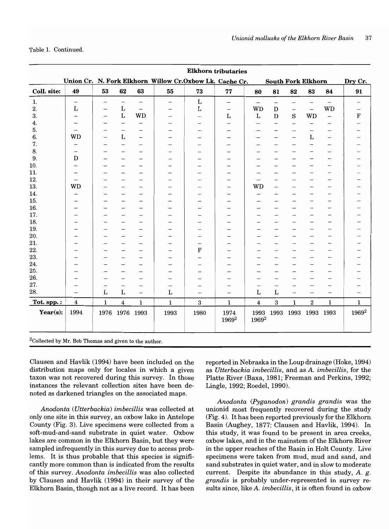Table 1. Continued.

|              |                          |               |                             |                          |                                                          |                          | <b>Elkhorn tributaries</b> |                         |                                |                           |                          |                          |                          |
|--------------|--------------------------|---------------|-----------------------------|--------------------------|----------------------------------------------------------|--------------------------|----------------------------|-------------------------|--------------------------------|---------------------------|--------------------------|--------------------------|--------------------------|
|              |                          |               |                             |                          | Union Cr. N. Fork Elkhorn Willow Cr. Oxbow Lk. Cache Cr. |                          |                            |                         |                                | <b>South Fork Elkhorn</b> |                          |                          | Dry Cr.                  |
| Coll. site:  | 49                       | 53            | 62                          | 63                       | 55                                                       | 73                       | 77                         | 80                      | 81                             | 82                        | 83                       | 84                       | 91                       |
| $\mathbf{1}$ | $\overline{\phantom{m}}$ |               | $\overline{\phantom{a}}$    | $\overline{\phantom{0}}$ | —                                                        | $\mathbf L$              | $\overline{\phantom{m}}$   | $\qquad \qquad -$       | $\qquad \qquad \longleftarrow$ |                           | $\overline{\phantom{m}}$ |                          | $\overline{\phantom{0}}$ |
| 2.           | $\mathbf L$              |               | $\bf L$                     | $\overline{\phantom{0}}$ | -                                                        | $\mathbf L$              | $\overline{\phantom{a}}$   | <b>WD</b>               | $\mathbf D$                    | $\overline{\phantom{m}}$  | $\qquad \qquad -$        | <b>WD</b>                |                          |
| 3.           |                          | $\rightarrow$ | $\bf L$                     | <b>WD</b>                |                                                          | $\overline{\phantom{0}}$ | L                          | $\mathbf L$             | $\mathbf D$                    | $\mathbf S$               | <b>WD</b>                |                          | F                        |
| 4.           |                          |               | $\qquad \qquad -$           |                          |                                                          |                          |                            |                         | —                              | -                         |                          |                          |                          |
| 5.           |                          |               | -                           |                          |                                                          |                          |                            |                         |                                |                           |                          |                          |                          |
| 6.           | <b>WD</b>                |               | $\mathbf{L}$                | -                        |                                                          |                          |                            |                         |                                |                           | $\mathbf L$              | —                        |                          |
| 7.           |                          |               | -                           |                          |                                                          | -                        | -                          |                         |                                |                           |                          |                          |                          |
| 8.           |                          |               |                             |                          |                                                          |                          |                            |                         |                                |                           |                          | -                        |                          |
| 9.           | D                        |               |                             |                          |                                                          |                          |                            |                         |                                |                           |                          | -                        |                          |
| 10.          |                          |               |                             | -                        |                                                          |                          | —                          |                         |                                |                           |                          | $\qquad \qquad$          |                          |
| 11.          |                          |               |                             | $\overline{\phantom{0}}$ | -                                                        | -                        | -                          |                         |                                |                           |                          |                          |                          |
| 12.          |                          |               |                             |                          |                                                          |                          |                            |                         |                                |                           |                          |                          |                          |
| 13.          | <b>WD</b>                |               |                             |                          | -                                                        |                          |                            | <b>WD</b>               | -                              |                           |                          | —                        |                          |
| 14.          |                          |               |                             |                          |                                                          |                          |                            |                         |                                |                           |                          |                          |                          |
| 15.          |                          |               |                             |                          |                                                          |                          |                            |                         |                                |                           | -                        | -                        |                          |
| 16.          |                          |               |                             |                          |                                                          |                          |                            |                         |                                |                           |                          | —                        |                          |
| 17.          |                          |               |                             |                          |                                                          |                          |                            |                         |                                |                           | -                        | $\qquad \qquad$          |                          |
| 18.          |                          |               |                             | $\overline{\phantom{0}}$ | -                                                        |                          | -                          |                         | $\overline{\phantom{0}}$       | -                         |                          | —                        |                          |
| 19.          |                          |               |                             | -                        | -                                                        |                          | -                          |                         | -                              |                           |                          |                          |                          |
| 20.          |                          |               |                             | -                        |                                                          |                          |                            |                         |                                |                           |                          |                          |                          |
| 21.          |                          |               |                             |                          |                                                          |                          |                            |                         |                                |                           |                          |                          |                          |
| 22.          |                          |               |                             |                          |                                                          | $\mathbf F$              |                            |                         |                                |                           |                          |                          |                          |
| 23.          |                          |               |                             |                          |                                                          |                          |                            |                         |                                |                           |                          | $\overline{\phantom{a}}$ |                          |
| 24.          |                          |               |                             |                          |                                                          | $\overline{\phantom{0}}$ |                            |                         |                                |                           |                          |                          |                          |
| 25.          |                          |               |                             |                          |                                                          |                          |                            |                         |                                |                           |                          |                          |                          |
| 26.          |                          |               |                             | -                        | -                                                        |                          |                            |                         |                                |                           |                          | -                        |                          |
| 27.          |                          |               | $\overline{\phantom{a}}$    |                          | -                                                        |                          |                            |                         |                                | -                         | -                        |                          |                          |
| 28.          |                          | L             | $\mathbf{L}$                | $\qquad \qquad -$        | L                                                        | -                        | $\overline{\phantom{0}}$   | $\mathbf L$             | $\mathbf L$                    | $\qquad \qquad -$         | —<br>—                   | -                        |                          |
| Tot. spp.:   | $\overline{\mathbf{4}}$  | $\mathbf 1$   | $\overline{\mathbf{4}}$     | $\mathbf 1$              | $\mathbf 1$                                              | $\bf 3$                  | $\mathbf 1$                | $\overline{\mathbf{4}}$ | $\bf 3$                        | $\mathbf 1$               | $\,2$                    | $\mathbf{1}$             | $\mathbf 1$              |
| Year $(s)$ : | 1994                     |               | 1976 1976 1993              |                          | 1993                                                     | 1980                     | 1974<br>1969 <sup>2</sup>  | 1993<br>$1969^2$        | 1993                           | 1993                      | 1993                     | 1993                     | 1969 <sup>2</sup>        |
| $2a + 1$     |                          |               | $\sim$ $\sim$ $\sim$ $\sim$ | <b>State State</b>       |                                                          |                          |                            |                         |                                |                           |                          |                          |                          |

 $2$ Collected by Mr. Bob Thomas and given to the author.

Clausen and Havlik (1994) have been included on the distribution maps only for locales in which a given taxon was not recovered during this survey. In those instances the relevant collection sites have been denoted as darkened triangles on the associated maps.

*Anodonta (Utterbackia) imbecillis* was collected at only one site in this survey, an oxbow lake in Antelope County (Fig. 3). Live specimens were collected from a soft-mud-and-sand substrate in quiet water. Oxbow lakes are common in the Elkhorn Basin, but they were sampled infrequently in this survey due to access problems. It is thus probable that this species is significantly more common than is indicated from the results of this survey. *Anodonta imbecillis* was also collected by Clausen and Havlik (1994) in their survey of the Elkhorn Basin, though not as a live record. It has been

reported in Nebraska in the Loup drainage (Hoke, 1994) as *Utterbackia imbecillis,* and as A. *imbecillis,* for the Platte River (Baxa, 1981; Freeman and Perkins, 1992; Lingle, 1992; Roedel, 1990).

*Anodonta (Pyganodon) grandis grandis* was the unionid most frequently recovered during the study (Fig. 4). It has been reported previously for the Elkhorn Basin (Aughey, 1877; Clausen and Havlik, 1994). In this study, it was found to be present in area creeks, oxbow lakes, and in the mainstem of the Elkhorn River in the upper reaches ofthe Basin in Holt County. Live specimens were taken from mud, mud and sand, and sand substrates in quiet water, and in slow to moderate current. Despite its abundance in this study,  $A$ .  $g$ . *grandis* is probably under-represented in survey results since, like A. *imbecillis,* it is often found in oxbow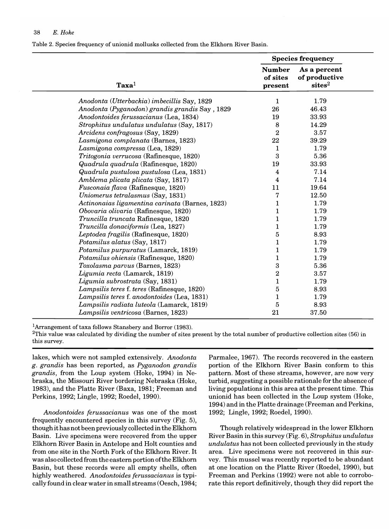Table 2. Species frequency of unionid mollusks collected from the Elkhorn River Basin.

|                                                 |                                      | <b>Species frequency</b>                            |  |
|-------------------------------------------------|--------------------------------------|-----------------------------------------------------|--|
| $\textbf{Taxa}^1$                               | <b>Number</b><br>of sites<br>present | As a percent<br>of productive<br>sites <sup>2</sup> |  |
| Anodonta (Utterbackia) imbecillis Say, 1829     | 1                                    | 1.79                                                |  |
| Anodonta (Pyganodon) grandis grandis Say, 1829  | 26                                   | 46.43                                               |  |
| Anodontoides ferussacianus (Lea, 1834)          | 19                                   | 33.93                                               |  |
| Strophitus undulatus undulatus (Say, 1817)      | 8                                    | 14.29                                               |  |
| Arcidens confragosus (Say, 1829)                | $\overline{2}$                       | 3.57                                                |  |
| Lasmigona complanata (Barnes, 1823)             | 22                                   | 39.29                                               |  |
| Lasmigona compressa (Lea, 1829)                 | $\mathbf{1}$                         | 1.79                                                |  |
| Tritogonia verrucosa (Rafinesque, 1820)         | $\mathbf{3}$                         | 5.36                                                |  |
| Quadrula quadrula (Rafinesque, 1820)            | 19                                   | 33.93                                               |  |
| Quadrula pustulosa pustulosa (Lea, 1831)        | 4                                    | 7.14                                                |  |
| Amblema plicata plicata (Say, 1817)             | $\overline{\mathbf{4}}$              | 7.14                                                |  |
| Fusconaia flava (Rafinesque, 1820)              | 11                                   | 19.64                                               |  |
| Uniomerus tetralasmus (Say, 1831)               | 7                                    | 12.50                                               |  |
| Actinonaias ligamentina carinata (Barnes, 1823) | $\mathbf 1$                          | 1.79                                                |  |
| Obovaria olivaria (Rafinesque, 1820)            | $\mathbf 1$                          | 1.79                                                |  |
| Truncilla truncata Rafinesque, 1820             | $\mathbf{1}$                         | 1.79                                                |  |
| Truncilla donaciformis (Lea, 1827)              | $\mathbf{1}$                         | 1.79                                                |  |
| Leptodea fragilis (Rafinesque, 1820)            | 5                                    | 8.93                                                |  |
| Potamilus alatus (Say, 1817)                    | 1                                    | 1.79                                                |  |
| Potamilus purpuratus (Lamarck, 1819)            | $\mathbf{1}$                         | 1.79                                                |  |
| Potamilus ohiensis (Rafinesque, 1820)           | $\mathbf{1}$                         | 1.79                                                |  |
| Toxolasma parvus (Barnes, 1823)                 | $\boldsymbol{3}$                     | 5.36                                                |  |
| Ligumia recta (Lamarck, 1819)                   | $\bf 2$                              | 3.57                                                |  |
| Ligumia subrostrata (Say, 1831)                 | $\mathbf{1}$                         | 1.79                                                |  |
| Lampsilis teres f. teres (Rafinesque, 1820)     | $\bf 5$                              | 8.93                                                |  |
| Lampsilis teres f. anodontoides (Lea, 1831)     | $\mathbf{1}$                         | 1.79                                                |  |
| Lampsilis radiata luteola (Lamarck, 1819)       | 5                                    | 8.93                                                |  |
| Lampsilis ventricosa (Barnes, 1823)             | 21                                   | 37.50                                               |  |

lArrangement of taxa follows Stansbery and Borror (1983).

 $^{2}$ This value was calculated by dividing the number of sites present by the total number of productive collection sites (56) in this survey.

lakes, which were not sampled extensively. *Anodonta g. grandis* has been reported, as *Pyganodon grandis grandis,* from the Loup system (Hoke, 1994) in Nebraska, the Missouri River bordering Nebraska (Hoke, 1983), and the Platte River (Baxa, 1981; Freeman and Perkins, 1992; Lingle, 1992; Roedel, 1990).

*Anodontoides ferussacianus* was one of the most frequently encountered species in this survey (Fig. 5), though it has not been previously collected in the Elkhorn Basin. Live specimens were recovered from the upper Elkhorn River Basin in Antelope and Holt counties and from one site in the North Fork of the Elkhorn River. It was also collected from the eastern portion ofthe Elkhorn Basin, but these records were all empty shells, often highly weathered. *Anodontoides ferussacianus* is typically found in clear water in small streams (Oesch, 1984;

Parmalee, 1967). The records recovered in the eastern portion of the Elkhorn River Basin conform to this pattern. Most of these streams, however, are now very turbid, suggesting a possible rationale for the absence of living populations in this area at the present time. This unionid has been collected in the Loup system (Hoke, 1994) and in the Platte drainage (Freeman and Perkins, 1992; Lingle, 1992; Roedel, 1990).

Though relatively widespread in the lower Elkhorn River Basin in this survey (Fig. 6), *Strophitus undulatus undulatus* has not been collected previously in the study area. Live specimens were not recovered in this survey. This mussel was recently reported to be abundant at one location on the Platte River (Roedel, 1990), but Freeman and Perkins (1992) were not able to corroborate this report definitively, though they did report the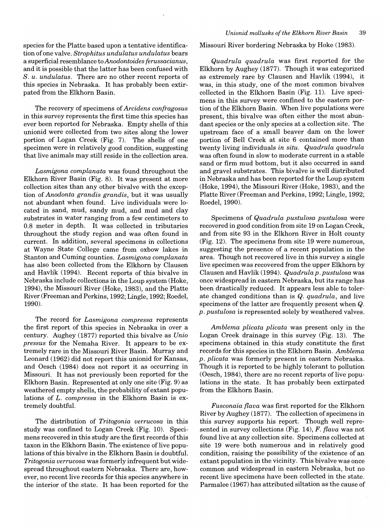species for the Platte based upon a tentative identification of one valve. *Strophitus undulatus undulatus* bears a superficial resemblance to *Anodontoides ferussacianus,*  and it is possible that the latter has been confused with *S. u. undulatus.* There are no other recent reports of this species in Nebraska. It has probably been extirpated from the Elkhorn Basin.

The recovery of specimens of *Arcidens confragosus*  in this survey represents the first time this species has ever been reported for Nebraska. Empty shells of this unionid were collected from two sites along the lower portion of Logan Creek (Fig. 7). The shells of one specimen were in relatively good condition, suggesting that live animals may still reside in the collection area.

*Lasmigona complanata* was found throughout the Elkhorn River Basin (Fig. 8). It was present at more collection sites than any other bivalve with the exception of *Anodonta grandis grandis,* but it was usually not abundant when found. Live individuals were located in sand, mud, sandy mud, and mud and clay substrates in water ranging from a few centimeters to 0.8 meter in depth. It was collected in tributaries throughout the study region and was often found in current. In addition, several specimens in collections at Wayne State College came from oxbow lakes in Stanton and Cuming counties. *Lasmigona complanata*  has also been collected from the Elkhorn by Clausen and Havlik (1994). Recent reports of this bivalve in Nebraska include collections in the Loup system (Hoke, 1994), the Missouri River (Hoke, 1983), and the Platte River (Freeman and Perkins, 1992; Lingle, 1992; Roedel, 1990).

The record for *Lasmigona compressa* represents the first report of this species in Nebraska in over a century. Aughey (1877) reported this bivalve as *Unio pressus* for the Nemaha River. It appears to be extremely rare in the Missouri River Basin. Murray and Leonard (1962) did not report this unionid for Kansas, and Oesch (1984) does not report it as occurring in Missouri. It has not previously been reported for the Elkhorn Basin. Represented at only one site (Fig. 9) as weathered empty shells, the probability of extant populations of *L. compressa* in the Elkhorn Basin is extremely doubtful.

The distribution of *Tritogonia verrucosa* in this study was confined to Logan Creek (Fig. 10). Specimens recovered in this study are the first records of this taxon in the Elkhorn Basin. The existence of live populations of this bivalve in the Elkhorn Basin is doubtful. *Tritogonia verrucosa* was formerly infrequent but widespread throughout eastern Nebraska. There are, however, no recent live records for this species anywhere in the interior of the state. It has been reported for the Missouri River bordering Nebraska by Hoke (1983).

*Quadrula quadrula* was first reported for the Elkhorn by Aughey (1877). Though it was categorized as extremely rare by Clausen and Havlik (1994), it was, in this study, one of the most common bivalves collected in the Elkhorn Basin (Fig. 11). Live specimens in this survey were confmed to the eastern portion of the Elkhorn Basin. When live populations were present, this bivalve was often either the most abundant species or the only species at a collection site. The upstream face of a small beaver dam on the lower portion of Bell Creek at site 6 contained more than twenty living individuals *in situ. Quadrula quadrula*  was often found in slow to moderate current in a stable sand or firm mud bottom, but it also occurred in sand and gravel substrates. This bivalve is well distributed in Nebraska and has been reported for the Loup system (Hoke, 1994), the Missouri River (Hoke, 1983), and the Platte River (Freeman and Perkins, 1992; Lingle, 1992; Roedel,1990).

Specimens of *Quadrula pustulosa pustulosa* were recovered in good condition from site 19 on Logan Creek, and from site 93 in the Elkhorn River in Holt county (Fig. 12). The specimens from site 19 were numerous, suggesting the presence of a recent popuJation in the area. Though not recovered live in this survey a single live specimen was recovered from the upper Elkhorn by Clausen and Havlik (1994). *Quadrula p. pustulosa* was once widespread in eastern Nebraska, but its range has been drastically reduced. It appears less able to tolerate changed conditions than is *Q. quadrula,* and live specimens of the latter are frequently present when Q. *p. pustulosa* is represented solely by weathered valves.

*Amblema plicata plicata* was present only in the Logan Creek drainage in this survey (Fig. 13). The specimens obtained in this study constitute the first records for this species in the Elkhorn Basin. *Amblema p. plicata* was formerly present in eastern Nebraska. Though it is reported to be highly tolerant to pollution (Oesch, 1984), there are no recent reports of live populations in the state. It has probably been extirpated from the Elkhorn Basin.

*Fusconaia {lava* was first reported for the Elkhorn River by Aughey (1877). The collection of specimens in this survey supports his report. Though well represented in survey collections (Fig. 14), *F. {lava* was not found live at any collection site. Specimens collected at site 19 were both numerous and in relatively good condition, raising the possibility of the existence of an extant population in the vicinity. This bivalve was once common and widespread in eastern Nebraska, but no recent live specimens have been collected in the state. Parmalee (1967) has attributed siltation as the cause of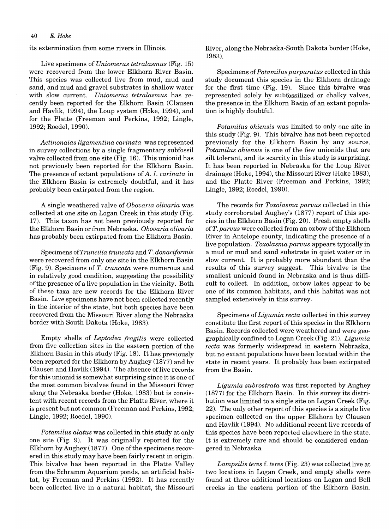its extermination from some rivers in Illinois.

Live specimens of *Uniomerus tetralasmus* (Fig. 15) were recovered from the lower Elkhorn River Basin. This species was collected live from mud, mud and sand, and mud and gravel substrates in shallow water with slow current. *Uniomerus tetralasmus* has recently been reported for the Elkhorn Basin (Clausen and Havlik, 1994), the Loup system (Hoke, 1994), and for the Platte (Freeman and Perkins, 1992; Lingle, 1992; Roedel, 1990).

*Actinonaias ligamentina carinata* was represented in survey collections by a single fragmentary subfossil valve collected from one site (Fig. 16). This unionid has not previously been reported for the Elkhorn Basin. The presence of extant populations of *A. 1. carinata* in the Elkhorn Basin is extremely doubtful, and it has probably been extirpated from the region.

A single weathered valve of *Obouaria oliuaria* was collected at one site on Logan Creek in this study (Fig. 17). This taxon has not been previously reported for the Elkhorn Basin or from Nebraska. *Obouaria oliuaria*  has probably been extirpated from the Elkhorn Basin.

Specimens *ofTruncilla truncata* and *T. donaciformis*  were recovered from only one site in the Elkhorn Basin (Fig. 9). Specimens of *T. truncata* were numerous and in relatively good condition, suggesting the possibility ofthe presence of a live population in the vicinity. Both of these taxa are new records for the Elkhorn River Basin. Live specimens have not been collected recently in the interior of the state, but both species have been recovered from the Missouri River along the Nebraska border with South Dakota (Hoke, 1983).

Empty shells of *Leptodea fragilis* were collected from five collection sites in the eastern portion of the Elkhorn Basin in this study (Fig. 18). It has previously been reported for the Elkhorn by Aughey (1877) and by Clausen and Havlik (1994). The absence of live records for this unionid is somewhat surprising since it is one of the most common bivalves found in the Missouri River along the Nebraska border (Hoke, 1983) but is consistent with recent records from the Platte River, where it is present but not common (Freeman and Perkins, 1992; Lingle, 1992; Roedel, 1990).

*Potamilus alatus* was collected in this study at only one site (Fig. 9). It was originally reported for the Elkhorn by Aughey (1877). One of the specimens recovered in this study may have been fairly recent in origin. This bivalve has been reported in the Platte Valley from the Schramm Aquarium ponds, an artificial habitat, by Freeman and Perkins (1992). It has recently been collected live in a natural habitat, the Missouri River, along the Nebraska-South Dakota border (Hoke, 1983).

Specimens of *Potamilus purpuratus* collected in this study document this species in the Elkhorn drainage for the first time (Fig. 19). Since this bivalve was represented solely by subfossilized or chalky valves, the presence in the Elkhorn Basin of an extant population is highly doubtful.

*Potamilus ohiensis* was limited to only one site in this study (Fig. 9). This bivalve has not been reported previously for the Elkhorn Basin by any source. *Potamilus ohiensis* is one of the few unionids that are silt tolerant, and its scarcity in this study is surprising. It has been reported in Nebraska for the Loup River drainage (Hoke, 1994), the Missouri River (Hoke 1983), and the Platte River (Freeman and Perkins, 1992; Lingle, 1992; Roedel, 1990).

The records for *Toxolasma paruus* collected in this study corroborated Aughey's (1877) report of this species in the Elkhorn Basin (Fig. 20). Fresh empty shells of *T. paruus* were collected from an oxbow of the Elkhorn River in Antelope county, indicating the presence of a live population. *Toxolasma paruus* appears typically in a mud or mud and sand substrate in quiet water or in slow current. It is probably more abundant than the results of this survey suggest. This bivalve is the smallest unionid found in Nebraska and is thus difficult to collect. In addition, oxbow lakes appear to be one of its common habitats, and this habitat was not sampled extensively in this survey.

Specimens of *Ligumia recta* collected in this survey constitute the first report ofthis species in the Elkhorn Basin. Records collected were weathered and were geographically confined to Logan Creek (Fig. 21). *Ligumia recta* was formerly widespread in eastern Nebraska, but no extant populations have been located within the state in recent years. It probably has been extirpated from the Basin.

*Ligumia subrostrata* was first reported by Aughey (1877) for the Elkhorn Basin. In this survey its distribution was limited to a single site on Logan Creek (Fig. 22). The only other report of this species is a single live specimen collected on the upper Elkhorn by Clausen and Havlik (1994). No additional recent live records of this species have been reported elsewhere in the state. It is extremely rare and should be considered endangered in Nebraska.

*Lampsilis teres* f. *teres* (Fig. 23) was collected live at two locations in Logan Creek, and empty shells were found at three additional locations on Logan and Bell creeks in the eastern portion of the Elkhorn Basin.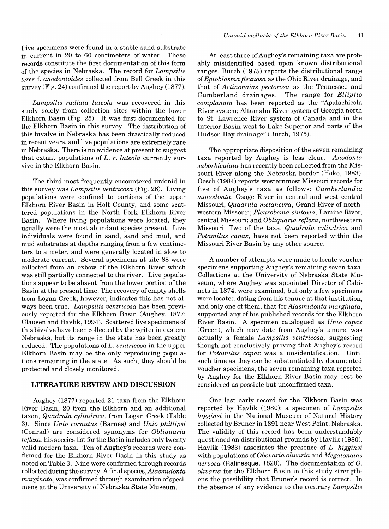Live specimens were found in a stable sand substrate in current in 20 to 60 centimeters of water. These records constitute the first documentation of this form of the species in Nebraska. The record for *Lampsilis teres* f. *anodontoides* collected from Bell Creek in this survey (Fig. 24) confirmed the report by Aughey (1877).

*Lampsilis radiata luteola* was recovered in this study solely from collection sites within the lower Elkhorn Basin (Fig. 25). It was first documented for the Elkhorn Basin in this survey. The distribution of this bivalve in Nebraska has been drastically reduced in recent years, and live populations are extremely rare in Nebraska. There is no evidence at present to suggest that extant populations of *L. r. luteola* currently survive in the Elkhorn Basin.

The third-most-frequently encountered unionid in this survey was *Lampsilis ventricosa* (Fig. 26). Living populations were confined to portions of the upper Elkhorn River Basin in Holt County, and some scattered populations in the North Fork Elkhorn River Basin. Where living populations were located, they usually were the most abundant species present. Live individuals were found in sand, sand and mud, and mud substrates at depths ranging from a few centimeters to a meter, and were generally located in slow to moderate current. Several specimens at site 88 were collected from an oxbow of the Elkhorn River which was still partially connected to the river. Live populations appear to be absent from the lower portion of the Basin at the present time. The recovery of empty shells from Logan Creek, however, indicates this has not always been true. *Lampsilis ventricosa* has been previously reported for the Elkhorn Basin (Aughey, 1877; Clausen and Havlik, 1994). Scattered live specimens of this bivalve have been collected by the writer in eastern Nebraska, but its range in the state has been greatly reduced. The populations of *L. ventricosa* in the upper Elkhorn Basin may be the only reproducing populations remaining in the state. As such, they should be protected and closely monitored.

#### **LITERATURE REVIEW AND DISCUSSION**

Aughey (1877) reported 21 taxa from the Elkhorn River Basin, 20 from the Elkhorn and an additional taxon, *Quadrula cylindrica,* from Logan Creek (Table 3). Since *Unio cornutus* (Barnes) and *Unio phillipsi*  (Conrad) are considered synonyms for *Obliquaria reflexa,* his species list for the Basin includes only twenty valid modern taxa. Ten of Aughey's records were confirmed for the Elkhorn River Basin in this study as noted on Table 3. Nine were confirmed through records collected during the survey. A final species, *Alasmidonta marginata,* was confirmed through examination of specimens at the University of Nebraska State Museum.

At least three of Aughey's remaining taxa are probably misidentified based upon known distributional ranges. Burch (1975) reports the distributional range of *Epioblasma flexuosa* as the Ohio River drainage, and that of *Actinonaias pectorosa* as the Tennessee and Cumberland drainages. The range for *Elliptio complanata* has been reported as the "Apalachicola River system; Altamaha River system of Georgia north to St. Lawrence River system of Canada and in the Interior Basin west to Lake Superior and parts of the Hudson Bay drainage" (Burch, 1975).

The appropriate disposition of the seven remaining taxa reported by Aughey is less clear. *Anodonta suborbiculata* has recently been collected from the Missouri River along the Nebraska border (Hoke, 1983). Oesch (1984) reports westernmost Missouri records for five of Aughey's taxa as follows: *Cumberlandia monodonta,* Osage River in central and west central Missouri; *Quadrula metanevra,* Grand River of northwestern Missouri; *Pleurobema sintoxia,* Lamine River, central Missouri; and *Obliquaria reflexa,* northwestern Missouri. Two of the taxa, *Quadrula cylindrica* and *Potamilus capax,* have not been reported within the Missouri River Basin by any other source.

A number of attempts were made to locate voucher specimens supporting Aughey's remaining seven taxa. Collections at the University of Nebraska State Museum, where Aughey was appointed Director of Cabinets in 1874, were examined, but only a few specimens were located dating from his tenure at that institution, and only one of them, that for *Alasmidonta marginata,*  supported any of his published records for the Elkhorn River Basin. A specimen catalogued as *Unio capax*  (Green), which may date from Aughey's tenure, was actually a female *Lampsilis ventricosa,* suggesting though not conclusively proving that Aughey's record for *Potamilus capax* was a misidentification. Until such time as they can be substantiated by documented voucher specimens, the seven remaining taxa reported by Aughey for the Elkhorn River Basin may best be considered as possible but unconfirmed taxa.

One last early record for the Elkhorn Basin was reported by Havlik (1980): a specimen of *Lampsilis higginsi* in the National Museum of Natural History collected by Bruner in 1891 near West Point, Nebraska. The validity of this record has been understandably questioned on distributional grounds by Havlik (1980). Havlik (1983) associates the presence of *L. higginsi*  with populations of *Obovaria olivaria* and *Megalonaias nervosa* (Rafinesque, 1820). The documentation of O. *olivaria* for the Elkhorn Basin in this study strengthens the possibility that Bruner's record is correct. In the absence of any evidence to the contrary *Lampsilis*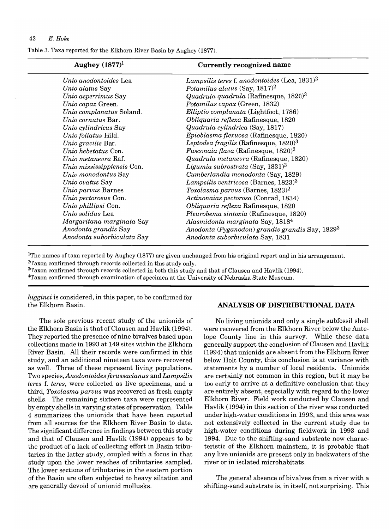Table 3. Taxa reported for the Elkhorn River Basin by Aughey (1877).

| Lampsilis teres f. anodontoides (Lea, 1831) <sup>2</sup><br>Unio anodontoides Lea   |  |
|-------------------------------------------------------------------------------------|--|
|                                                                                     |  |
| Potamilus alatus (Say, $1817$ ) <sup>2</sup><br>Unio alatus Say                     |  |
| Unio asperrimus Say<br>Quadrula quadrula (Rafinesque, 1820) <sup>3</sup>            |  |
| Unio capax Green.<br>Potamilus capax (Green, 1832)                                  |  |
| Unio complanatus Soland.<br>Elliptio complanata (Lightfoot, 1786)                   |  |
| Unio cornutus Bar.<br>Obliquaria reflexa Rafinesque, 1820                           |  |
| Quadrula cylindrica (Say, 1817)<br>Unio cylindricus Say                             |  |
| Unio foliatus Hild.<br>Epioblasma flexuosa (Rafinesque, 1820)                       |  |
| Unio gracilis Bar.<br>Leptodea fragilis (Rafinesque, 1820) <sup>3</sup>             |  |
| Fusconaia flava (Rafinesque, 1820) <sup>2</sup><br>Unio hebetatus Con.              |  |
| Quadrula metanevra (Rafinesque, 1820)<br>Unio metanevra Raf.                        |  |
| Ligumia subrostrata (Say, $1831$ ) <sup>3</sup><br>Unio mississippiensis Con.       |  |
| Cumberlandia monodonta (Say, 1829)<br>Unio monodontus Say                           |  |
| Lampsilis ventricosa (Barnes, 1823) <sup>3</sup><br>Unio ovatus Say                 |  |
| Toxolasma parvus (Barnes, $1823$ ) <sup>2</sup><br>Unio parvus Barnes               |  |
| Unio pectorosus Con.<br>Actinonaias pectorosa (Conrad, 1834)                        |  |
| Unio phillipsi Con.<br>Obliquaria reflexa Rafinesque, 1820                          |  |
| Unio solidus Lea<br>Pleurobema sintoxia (Rafinesque, 1820)                          |  |
| Alasmidonta marginata Say, 1818 <sup>4</sup><br>Margaritana marginata Say           |  |
| Anodonta (Pyganodon) grandis grandis Say, 1829 <sup>3</sup><br>Anodonta grandis Say |  |
| Anodonta suborbiculata Say<br>Anodonta suborbiculata Say, 1831                      |  |

IThe names of taxa reported by Aughey (1877) are given unchanged from his original report and in his arrangement. 2Taxon confirmed through records collected in this study only.

3Taxon confirmed through records collected in both this study and that of Clausen and Havlik (1994).

4Taxon confirmed through examination of specimen at the University of Nebraska State Museum.

*higginsi* is considered, in this paper, to be confirmed for the Elkhorn Basin.

The sole previous recent study of the unionids of the Elkhorn Basin is that of Clausen and Havlik (1994). They reported the presence of nine bivalves based upon collections made in 1993 at 149 sites within the Elkhorn River Basin. All their records were confirmed in this study, and an additional nineteen taxa were recovered as well. Three of these represent living populations. Two species, *Anodontoides ferussacianus* and *Lampsilis teres* f. *teres,* were collected as live specimens, and a third, *Toxolasma parvus* was recovered as fresh empty shells. The remaining sixteen taxa were represented by empty shells in varying states of preservation. Table 4 summarizes the unionids that have been reported from all sources for the Elkhorn River Basin to date. The significant difference in findings between this study and that of Clausen and Havlik (1994) appears to be the product of a lack of collecting effort in Basin tributaries in the latter study, coupled with a focus in that study upon the lower reaches of tributaries sampled. The lower sections of tributaries in the eastern portion of the Basin are often subjected to heavy siltation and are generally devoid of unionid mollusks.

# **ANALYSIS OF DISTRIBUTIONAL DATA**

No living unionids and only a single subfossil shell were recovered from the Elkhorn River below the Antelope County line in this survey. While these data generally support the conclusion of Clausen and Havlik (1994) that unionids are absent from the Elkhorn River below Holt County, this conclusion is at variance with statements by a number of local residents. Unionids are certainly not common in this region, but it may be too early to arrive at a definitive conclusion that they are entirely absent, especially with regard to the lower Elkhorn River. Field work conducted by Clausen and Havlik (1994) in this section of the river was conducted under high-water conditions in 1993, and this area was not extensively collected in the current study due to high-water conditions during fieldwork in 1993 and 1994. Due to the shifting-sand substrate now characteristic of the Elkhorn mainstem, it is probable that any live unionids are present only in backwaters of the river or in isolated microhabitats.

The general absence of bivalves from a river with a shifting-sand substrate is, in itself, not surprising. This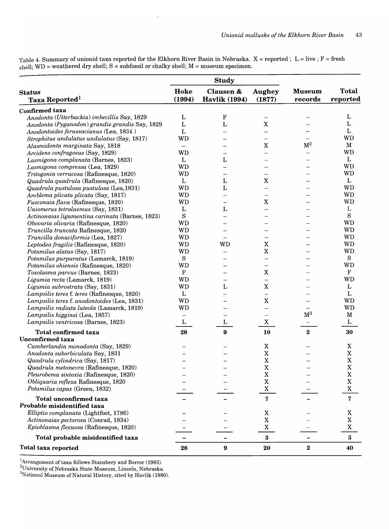Table 4. Summary of unionid taxa reported for the Elkhorn River Basin in Nebraska.  $X =$  reported; L = live; F = fresh  $s$ hell; WD = weathered dry shell; S = subfossil or chalky shell; M = museum specimen.

|                                                 |              | <b>Study</b>             |                          |                |              |
|-------------------------------------------------|--------------|--------------------------|--------------------------|----------------|--------------|
| <b>Status</b>                                   | Hoke         | Clausen &                | <b>Aughey</b>            | <b>Museum</b>  | <b>Total</b> |
| <b>Taxa Reported</b> <sup>1</sup>               | (1994)       | <b>Havlik (1994)</b>     | (1877)                   | records        | reported     |
| Confirmed taxa                                  |              |                          |                          |                |              |
| Anodonta (Utterbackia) imbecillis Say, 1829     | L            | ${\bf F}$                |                          |                | L            |
| Anodonta (Pyganodon) grandis grandis Say, 1829  | $\mathbf L$  | $\mathbf L$              | $\mathbf X$              |                | L            |
| Anodontoides ferussacianus (Lea, 1834)          | L            |                          |                          |                | L            |
| Strophitus undulatus undulatus (Say, 1817)      | WD           |                          |                          |                | <b>WD</b>    |
| Alasmidonta marginata Say, 1818                 |              |                          | $\mathbf X$              | $\mathbf{M}^2$ | M            |
| Arcidens confragosus (Say, 1829)                | <b>WD</b>    |                          |                          |                | <b>WD</b>    |
| Lasmigona complanata (Barnes, 1823)             | L            | L                        |                          |                | L            |
| Lasmigona compressa (Lea, 1829)                 | <b>WD</b>    |                          |                          |                | <b>WD</b>    |
| Tritogonia verrucosa (Rafinesque, 1820)         | <b>WD</b>    |                          | $\overline{\phantom{0}}$ |                | <b>WD</b>    |
| Quadrula quadrula (Rafinesque, 1820)            | L            | L                        | $\mathbf X$              |                | L            |
| Quadrula pustulosa pustulosa (Lea, 1831)        | <b>WD</b>    | L                        |                          |                | <b>WD</b>    |
| Amblema plicata plicata (Say, 1817)             | <b>WD</b>    |                          |                          |                | <b>WD</b>    |
| Fusconaia flava (Rafinesque, 1820)              | <b>WD</b>    |                          | $\mathbf X$              |                | <b>WD</b>    |
| Uniomerus tetralasmus (Say, 1831)               | L            | $\mathbf L$              |                          |                | L            |
| Actinonaias ligamentina carinata (Barnes, 1823) | S            |                          |                          |                | $\mathbf S$  |
| Obovaria olivaria (Rafinesque, 1820)            | <b>WD</b>    |                          |                          |                | <b>WD</b>    |
| Truncilla truncata Rafinesque, 1820             | <b>WD</b>    |                          |                          |                | <b>WD</b>    |
| Truncilla donaciformis (Lea, 1827)              | <b>WD</b>    | $\overline{\phantom{0}}$ | $\overline{\phantom{0}}$ |                | <b>WD</b>    |
| Leptodea fragilis (Rafinesque, 1820)            | <b>WD</b>    | <b>WD</b>                | $\mathbf X$              |                | WD           |
| Potamilus alatus (Say, 1817)                    | <b>WD</b>    |                          | $\overline{\text{X}}$    |                | <b>WD</b>    |
| Potamilus purpuratus (Lamarck, 1819)            | $\mathbf S$  |                          |                          |                | S            |
| Potamilus ohiensis (Rafinesque, 1820)           | <b>WD</b>    |                          |                          |                | <b>WD</b>    |
|                                                 | F            |                          | $\mathbf X$              |                | $\mathbf F$  |
| Toxolasma parvus (Barnes, 1823)                 | <b>WD</b>    | –                        |                          |                | <b>WD</b>    |
| Ligumia recta (Lamarck, 1819)                   | <b>WD</b>    | L                        | $\mathbf X$              |                | L            |
| Ligumia subrostrata (Say, 1831)                 |              |                          |                          |                | $\mathbf L$  |
| Lampsilis teres f. teres (Rafinesque, 1820)     | $\mathbf{L}$ |                          | $\mathbf X$              |                | <b>WD</b>    |
| Lampsilis teres f. anodontoides (Lea, 1831)     | <b>WD</b>    |                          |                          |                | <b>WD</b>    |
| Lampsilis radiata luteola (Lamarck, 1819)       | WD           |                          | $\overline{\phantom{0}}$ | $\mathbf{M}^3$ |              |
| Lampsilis higginsi (Lea, 1857)                  |              | —                        | $\overline{\phantom{0}}$ |                | $\mathbf M$  |
| Lampsilis ventricosa (Barnes, 1823)             | L            | L                        | $\mathbf X$              |                | L            |
| <b>Total confirmed taxa</b>                     | 28           | $\boldsymbol{9}$         | 10                       | $\bf{2}$       | 30           |
| <b>Unconfirmed taxa</b>                         |              |                          |                          |                |              |
| Cumberlandia monodonta (Say, 1829)              |              |                          | X                        |                | $\mathbf X$  |
| Anodonta suborbiculata Say, 1831                |              |                          | $\mathbf X$              |                | $\mathbf X$  |
| Quadrula cylindrica (Say, 1817)                 |              |                          | $\mathbf X$              |                | $\mathbf X$  |
| Quadrula metanevra (Rafinesque, 1820)           |              |                          | $\mathbf X$              |                | $\mathbf X$  |
| Pleurobema sintoxia (Rafinesque, 1820)          |              |                          | $\mathbf X$              |                | X            |
| Obliquaria reflexa Rafinesque, 1820             |              |                          | $\mathbf X$              |                | $\mathbf X$  |
| Potamilus capax (Green, 1832)                   |              |                          | $\mathbf X$              |                | $\mathbf X$  |
| <b>Total unconfirmed taxa</b>                   |              |                          | $\bf 7$                  |                | $\bf 7$      |
| Probable misidentified taxa                     |              |                          |                          |                |              |
| Elliptio complanata (Lightfoot, 1786)           |              |                          | X                        |                | X            |
| Actinonaias pectorosa (Conrad, 1834)            |              |                          | $\mathbf X$              |                | $\mathbf X$  |
| Epioblasma flexuosa (Rafinesque, 1820)          |              |                          | $\mathbf X$              |                | $\mathbf X$  |
| Total probable misidentified taxa               |              |                          | $\bf{3}$                 |                | $\bf{3}$     |
| <b>Total taxa reported</b>                      | 28           | $\boldsymbol{9}$         | 20                       | $\bf 2$        | 40           |

 $\rm{d}^1$ Arrangement of taxa follows Stansbery and Borror (1983).

 $^{2}$ University of Nebraska State Museum, Lincoln, Nebraska.

 $\mathrm{^{3}N}$ ational Museum of Natural History, cited by Havlik (1980).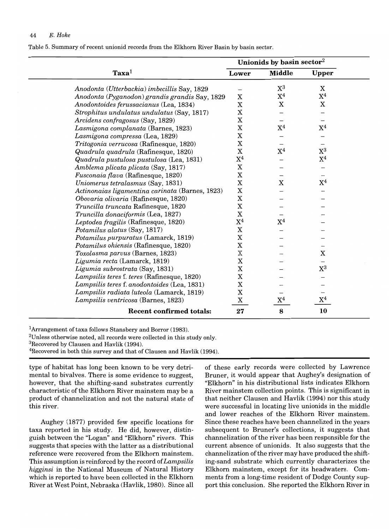Table 5. Summary of recent unionid records from the Elkhorn River Basin by basin sector.

|                                                 | Unionids by basin sector <sup>2</sup> |                |                |  |  |  |  |
|-------------------------------------------------|---------------------------------------|----------------|----------------|--|--|--|--|
| $\textbf{Taxa}^1$                               | Lower                                 | <b>Middle</b>  | <b>Upper</b>   |  |  |  |  |
| Anodonta (Utterbackia) imbecillis Say, 1829     |                                       | $\mathrm{X}^3$ | $\mathbf X$    |  |  |  |  |
| Anodonta (Pyganodon) grandis grandis Say, 1829  | X                                     | $X^4$          | $\mathrm{X}^4$ |  |  |  |  |
| Anodontoides ferussacianus (Lea, 1834)          | X                                     | $\mathbf X$    | X              |  |  |  |  |
| Strophitus undulatus undulatus (Say, 1817)      | X                                     |                |                |  |  |  |  |
| Arcidens confragosus (Say, 1829)                | X                                     |                |                |  |  |  |  |
| Lasmigona complanata (Barnes, 1823)             | X                                     | $\mathrm{X}^4$ | $\mathrm{X}^4$ |  |  |  |  |
| Lasmigona compressa (Lea, 1829)                 | X                                     |                |                |  |  |  |  |
| Tritogonia verrucosa (Rafinesque, 1820)         | X                                     |                |                |  |  |  |  |
| Quadrula quadrula (Rafinesque, 1820)            | X                                     | $\mathrm{X}^4$ | $\mathrm{X}^3$ |  |  |  |  |
| Quadrula pustulosa pustulosa (Lea, 1831)        | $\mathrm{X}^4$                        |                | $\mathrm{X}^4$ |  |  |  |  |
| Amblema plicata plicata (Say, 1817)             | X                                     |                |                |  |  |  |  |
| Fusconaia flava (Rafinesque, 1820)              | X                                     |                |                |  |  |  |  |
| Uniomerus tetralasmus (Say, 1831)               | $\mathbf X$                           | $\mathbf X$    | $\mathrm{X}^4$ |  |  |  |  |
| Actinonaias ligamentina carinata (Barnes, 1823) | $\mathbf X$                           |                |                |  |  |  |  |
| Obovaria olivaria (Rafinesque, 1820)            | $\mathbf X$                           |                |                |  |  |  |  |
| Truncilla truncata Rafinesque, 1820             | X                                     |                |                |  |  |  |  |
| Truncilla donaciformis (Lea, 1827)              | X                                     |                |                |  |  |  |  |
| Leptodea fragilis (Rafinesque, 1820)            | $\mathrm{X}^4$                        | $X^4$          |                |  |  |  |  |
| Potamilus alatus (Say, 1817)                    | X                                     |                |                |  |  |  |  |
| Potamilus purpuratus (Lamarck, 1819)            | X                                     |                |                |  |  |  |  |
| Potamilus ohiensis (Rafinesque, 1820)           | X                                     |                |                |  |  |  |  |
| Toxolasma parvus (Barnes, 1823)                 | X                                     |                | X              |  |  |  |  |
| Ligumia recta (Lamarck, 1819)                   | X                                     |                |                |  |  |  |  |
| Ligumia subrostrata (Say, 1831)                 | $\mathbf X$                           |                | $\mathrm{X}^3$ |  |  |  |  |
| Lampsilis teres f. teres (Rafinesque, 1820)     | $\mathbf X$                           |                |                |  |  |  |  |
| Lampsilis teres f. anodontoides (Lea, 1831)     | X                                     |                |                |  |  |  |  |
| Lampsilis radiata luteola (Lamarck, 1819)       | X                                     |                |                |  |  |  |  |
| Lampsilis ventricosa (Barnes, 1823)             | $\boldsymbol{\mathrm{X}}$             | $\mathrm{X}^4$ | $\mathrm{X}^4$ |  |  |  |  |
| <b>Recent confirmed totals:</b>                 | 27                                    | 8              | 10             |  |  |  |  |

lArrangement of taxa follows Stansbery and Borror (1983).

2Unless otherwise noted, all records were collected in this study only.

 $3$ Recovered by Clausen and Havlik (1994).

<sup>4</sup>Recovered in both this survey and that of Clausen and Havlik (1994).

type of habitat has long been known to be very detrimental to bivalves. There is some evidence to suggest, however, that the shifting-sand substrates currently characteristic of the Elkhorn River mainstem may be a product of channelization and not the natural state of this river.

Aughey (1877) provided few specific locations for taxa reported in his study. He did, however, distinguish between the "Logan" and "Elkhorn" rivers. This suggests that species with the latter as a distributional reference were recovered from the Elkhorn mainstem. This assumption is reinforced by the record of *Lampsilis higginsi* in the National Museum of Natural History which is reported to have been collected in the Elkhorn River at West Point, Nebraska (Havlik, 1980). Since all

of these early records were collected by Lawrence Bruner, it would appear that Aughey's designation of "Elkhorn" in his distributional lists indicates Elkhorn River mainstem collection points. This is significant in that neither Clausen and Havlik (1994) nor this study were successful in locating live unionids in the middle and lower reaches of the Elkhorn River mainstem. Since these reaches have been channelized in the years subsequent to Bruner's collections, it suggests that channelization of the river has been responsible for the current absence of unionids. It also suggests that the channelization of the river may have produced the shifting-sand substrate which currently characterizes the Elkhorn mainstem, except for its headwaters. Comments from a long-time resident of Dodge County support this conclusion. She reported the Elkhorn River in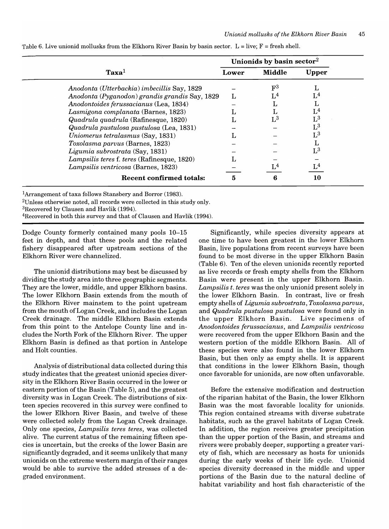|                                                |       | Unionids by basin sector <sup>2</sup> |                |
|------------------------------------------------|-------|---------------------------------------|----------------|
| $\bf {Taxa}^{1}$                               | Lower | Middle                                | Upper          |
| Anodonta (Utterbackia) imbecillis Say, 1829    |       | $\mathbf{F}^3$                        |                |
| Anodonta (Pyganodon) grandis grandis Say, 1829 |       | L <sup>4</sup>                        | L <sup>4</sup> |
| Anodontoides ferussacianus (Lea, 1834)         |       |                                       |                |
| Lasmigona complanata (Barnes, 1823)            |       |                                       | L <sup>4</sup> |
| Quadrula quadrula (Rafinesque, 1820)           |       | $\mathrm{L}^3$                        | $\mathrm{L}^3$ |
| Quadrula pustulosa pustulosa (Lea, 1831)       |       |                                       | $\mathrm{L}^3$ |
| Uniomerus tetralasmus (Say, 1831)              |       |                                       | $\mathrm{L}^3$ |
| Toxolasma parvus (Barnes, 1823)                |       |                                       |                |
| Ligumia subrostrata (Say, 1831)                |       |                                       | $\mathrm{L}^3$ |
| Lampsilis teres f. teres (Rafinesque, 1820)    |       |                                       |                |
| Lampsilis ventricosa (Barnes, 1823)            |       | 1.4                                   |                |
| <b>Recent confirmed totals:</b>                | 5     | 6                                     | 10             |

Table 6. Live unionid mollusks from the Elkhorn River Basin by basin sector.  $L = live$ ;  $F = fresh$  shell.

lArrangement of taxa follows Stansbery and Borror (1983).

<sup>2</sup>Unless otherwise noted, all records were collected in this study only.

3Recovered by Clausen and Havlik (1994).

4Recovered in both this survey and that of Clausen and Havlik (1994).

Dodge County formerly contained many pools 10-15 feet in depth, and that these pools and the related fishery disappeared after upstream sections of the Elkhorn River were channelized.

The unionid distributions may best be discussed by dividing the study area into three geographic segments. They are the lower, middle, and upper Elkhorn basins. The lower Elkhorn Basin extends from the mouth of the Elkhorn River mainstem to the point upstream from the mouth of Logan Creek, and includes the Logan Creek drainage. The middle Elkhorn Basin extends from this point to the Antelope County line and includes the North Fork of the Elkhorn River. The upper Elkhorn Basin is defined as that portion in Antelope and Holt counties.

Analysis of distributional data collected during this study indicates that the greatest unionid species diversity in the Elkhorn River Basin occurred in the lower or eastern portion of the Basin (Table 5), and the greatest diversity was in Logan Creek. The distributions of sixteen species recovered in this survey were confined to the lower Elkhorn River Basin, and twelve of these were collected solely from the Logan Creek drainage. Only one species, *Lampsilis teres teres,* was collected alive. The current status of the remaining fifteen species is uncertain, but the creeks of the lower Basin are significantly degraded, and it seems unlikely that many unionids on the extreme western margin of their ranges would be able to survive the added stresses of a degraded environment.

Significantly, while species diversity appears at one time to have been greatest in the lower Elkhorn Basin, live populations from recent surveys have been found to be most diverse in the upper Elkhorn Basin (Table 6). Ten of the eleven unionids recently reported as live records or fresh empty shells from the Elkhorn Basin were present in the upper Elkhorn Basin. *Lampsilis t. teres* was the only unionid present solely in the lower Elkhorn Basin. **In** contrast, live or fresh empty shells of *Ligumia subrostrata, Toxolasma parvus,*  and *Quadrula pustulosa pustulosa* were found only in the upper Elkhorn Basin. Live specimens of *Anodontoides ferussacianus,* and *Lampsilis uentricosa*  were recovered from the upper Elkhorn Basin and the western portion of the middle Elkhorn Basin. All of these species were also found in the lower Elkhorn Basin, but then only as empty shells. It is apparent that conditions in the lower Elkhorn Basin, though once favorable for unionids, are now often unfavorable.

Before the extensive modification and destruction of the riparian habitat of the Basin, the lower Elkhorn Basin was the most favorable locality for unionids. This region contained streams with diverse substrate habitats, such as the gravel habitats of Logan Creek. **In** addition, the region receives greater precipitation than the upper portion of the Basin, and streams and rivers were probably deeper, supporting a greater variety of fish, which are necessary as hosts for unionids during the early weeks of their life cycle. Unionid species diversity decreased in the middle and upper portions of the Basin due to the natural decline of habitat variability and host fish characteristic of the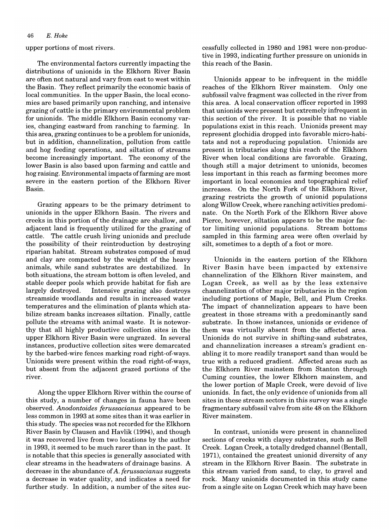upper portions of most rivers.

The environmental factors currently impacting the distributions of unionids in the Elkhorn River Basin are often not natural and vary from east to west within the Basin. They reflect primarily the economic basis of local communities. **In** the upper Basin, the local economies are based primarily upon ranching, and intensive grazing of cattle is the primary environmental problem for unionids. The middle Elkhorn Basin economy varies, changing eastward from ranching to farming. **In**  this area, grazing continues to be a problem for unionids, but in addition, channelization, pollution from cattle and hog feeding operations, and siltation of streams become increasingly important. The economy of the lower Basin is also based upon farming and cattle and hog raising. Environmental impacts of farming are most severe in the eastern portion of the Elkhorn River Basin.

Grazing appears to be the primary detriment to unionids in the upper Elkhorn Basin. The rivers and creeks in this portion of the drainage are shallow, and adjacent land is frequently utilized for the grazing of cattle. The cattle crush living unionids and preclude the possibility of their reintroduction by destroying riparian habitat. Stream substrates composed of mud and clay are compacted by the weight of the heavy animals, while sand substrates are destabilized. **In**  both situations, the stream bottom is often leveled, and stable deeper pools which provide habitat for fish are largely destroyed. Intensive grazing also destroys streamside woodlands and results in increased water temperatures and the elimination of plants which stabilize stream banks increases siltation. Finally, cattle pollute the streams with animal waste. It is noteworthy that all highly productive collection sites in the upper Elkhorn River Basin were ungrazed. **In** several instances, productive collection sites were demarcated by the barbed-wire fences marking road right-of-ways. Unionids were present within the road right-of-ways, but absent from the adjacent grazed portions of the river.

Along the upper Elkhorn River within the course of this study, a number of changes in fauna have been observed. *Anodontoides ferussacianus* appeared to be less common in 1993 at some sites than it was earlier in this study. The species was not recorded for the Elkhorn River Basin by Clausen and Havlik (1994), and though it was recovered live from two locations by the author in 1993, it seemed to be much rarer than in the past. It is notable that this species is generally associated with clear streams in the headwaters of drainage basins. A decrease in the abundance of *A. ferussacianus* suggests a decrease in water quality, and indicates a need for further study. **In** addition, a number of the sites suc-

cessfully collected in 1980 and 1981 were non-productive in 1993, indicating further pressure on unionids in this reach of the Basin. .

Unionids appear to be infrequent in the middle reaches of the Elkhorn River mainstem. Only one subfossil valve fragment was collected in the river from this area. A local conservation officer reported in 1993 that unionids were present but extremely infrequent in this section of the river. It is possible that no viable populations exist in this reach. Unionids present may represent glochidia dropped into favorable micro-habitats and not a reproducing population. Unionids are present in tributaries along this reach of the Elkhorn River when local conditions are favorable. Grazing, though still a major detriment to unionids, becomes less important in this reach as farming becomes more important in local economies and topographical relief increases. On the North Fork of the Elkhorn River, grazing restricts the growth of unionid populations along Willow Creek, where ranching activities predominate. On the North Fork of the Elkhorn River above Pierce, however, siltation appears to be the major factor limiting unionid populations. Stream bottoms sampled in this farming area were often overlaid by silt, sometimes to a depth of a foot or more.

Unionids in the eastern portion of the Elkhorn River Basin have been impacted by extensive channelization of the Elkhorn River mainstem, and Logan Creek, as well as by the less extensive channelization of other major tributaries in the region including portions of Maple, Bell, and Plum Creeks. The impact of channelization appears to have been greatest in those streams with a predominantly sand substrate. **In** those instances, unionids or evidence of them was virtually absent from the affected area. Unionids do not survive in shifting-sand substrates, and channelization increases a stream's gradient enabling it to more readily transport sand than would be true with a reduced gradient. Mfected areas such as the Elkhorn River mainstem from Stanton through Cuming counties, the lower Elkhorn mainstem, and the lower portion of Maple Creek, were devoid of live unionids. In fact, the only evidence of unionids from all sites in these stream sectors in this survey was a single fragmentary subfossil valve from site 48 on the Elkhorn River mainstem.

**In** contrast, unionids were present in channelized sections of creeks with clayey substrates, such as Bell Creek. Logan Creek, a totally dredged channel (Bentall, 1971), contained the greatest unionid diversity of any stream in the Elkhorn River Basin. The substrate in this stream varied from sand, to clay, to gravel and rock. Many unionids documented in this study came from a single site on Logan Creek which may have been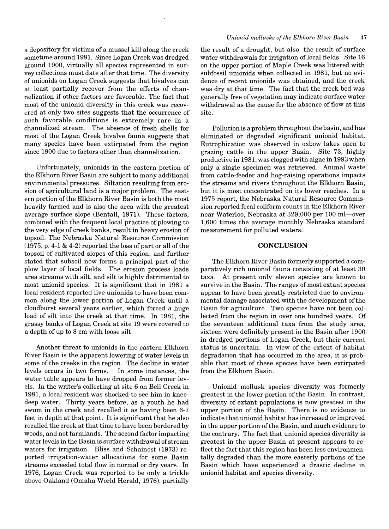a depository for victims of a mussel kill along the creek sometime around 1981. Since Logan Creek was dredged around 1900, virtually all species represented in survey collections must date after that time. The diversity of unionids on Logan Creek suggests that bivalves can at least partially recover from the effects of channelization if other factors are favorable. The fact that most of the unionid diversity in this creek was recovered at only two sites suggests that the occurrence of such favorable conditions is extremely rare in a channelized stream. The absence of fresh shells for most of the Logan Creek bivalve fauna suggests that many species have been extirpated from the region since 1900 due to factors other than channelization.

Unfortunately, unionids in the eastern portion of the Elkhorn River Basin are subject to many additional environmental pressures. Siltation resulting from erosion of agricultural land is a major problem. The eastern portion of the Elkhorn River Basin is both the most heavily farmed and is also the area with the greatest average surface slope (Bentall, 1971). These factors, combined with the frequent local practice of plowing to the very edge of creek banks, result in heavy erosion of topsoil. The Nebraska Natural Resource Commission (1975, p. 4-1 & 4-2) reported the loss of part or all of the topsoil of cultivated slopes of this region, and further stated that subsoil now forms a principal part of the plow layer of local fields. The erosion process loads area streams with silt, and silt is highly detrimental to most unionid species. It is significant that in 1981 a local resident reported live unionids to have been common along the lower portion of Logan Creek until a cloudburst several years earlier, which forced a huge load of silt into the creek at that time. In 1981, the grassy banks of Logan Creek at site 19 were covered to a depth of up to 8 cm with loose silt.

Another threat to unionids in the eastern Elkhorn River Basin is the apparent lowering of water levels in some of the creeks in the region. The decline in water levels occurs in two forms. In some instances, the water table appears to have dropped from former levels. In the writer's collecting at site 6 on Bell Creek in 1981, a local resident was shocked to see him in kneedeep water. Thirty years before, as a youth he had swum in the creek and recalled it as having been 6-7 feet in depth at that point. It is significant that he also recalled the creek at that time to have been bordered by woods, and not farmlands. The second factor impacting water levels in the Basin is surface withdrawal of stream waters for irrigation. Bliss and Schainost (1973) reported irrigation-water allocations for some Basin streams exceeded total flow in normal or dry years. In 1976, Logan Creek was reported to be only a trickle above Oakland (Omaha World Herald, 1976), partially

#### *Unionid mollusks of the Elkhorn River Basin 47*

the result of a drought, but also the result of surface water withdrawals for irrigation of local fields. Site 16 on the upper portion of Maple Creek was littered with subfossil unionids when collected in 1981, but no evidence of recent unionids was obtained, and the creek was dry at that time. The fact that the creek bed was generally free of vegetation may indicate surface water withdrawal as the cause for the absence of flow at this site.

Pollution is a problem throughout the basin, and has eliminated or degraded significant unionid habitat. Eutrophication was observed in oxbow lakes open to grazing cattle in the upper Basin. Site 73, highly productive in 1981, was clogged with algae in 1993 when only a single specimen was retrieved. Animal waste from cattle-feeder and hog-raising operations impacts the streams and rivers throughout the Elkhorn Basin, but it is most concentrated on its lower reaches. In a 1975 report, the Nebraska Natural Resource Commission reported fecal coliform counts in the Elkhorn River near Waterloo, Nebraska at 329,000 per 100 ml-over 1,600 times the average monthly Nebraska standard measurement for polluted waters.

#### **CONCLUSION**

The Elkhorn River Basin formerly supported a comparatively rich unionid fauna consisting of at least 30 taxa. At present only eleven species are known to survive in the Basin. The ranges of most extant species appear to have been greatly restricted due to environmental damage associated with the development of the Basin for agriculture. Two species have not been collected from the region in over one hundred years. Of the seventeen additional taxa from the study area, sixteen were definitely present in the Basin after 1900 in dredged portions of Logan Creek, but their current status is uncertain. In view of the extent of habitat degradation that has occurred in the area, it is probable that most of these species have been extirpated from the Elkhorn Basin.

Unionid mollusk species diversity was formerly greatest in the lower portion of the Basin. In contrast, diversity of extant populations is now greatest in the upper portion of the Basin. There is no evidence to indicate that unionid habitat has increased or improved in the upper portion of the Basin, and much evidence to the contrary. The fact that unionid species diversity is greatest in the upper Basin at present appears to reflect the fact that this region has been less environmentally degraded than the more easterly portions of the Basin which have experienced a drastic decline in unionid habitat and species diversity.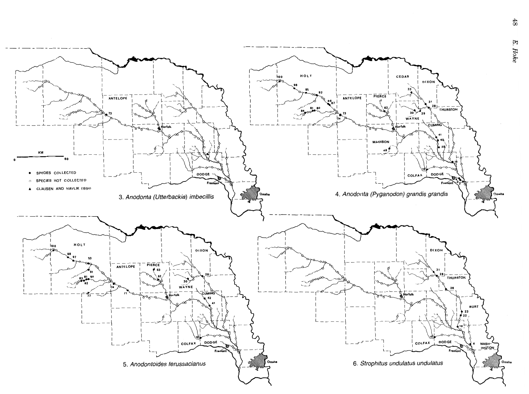

E.

 $48$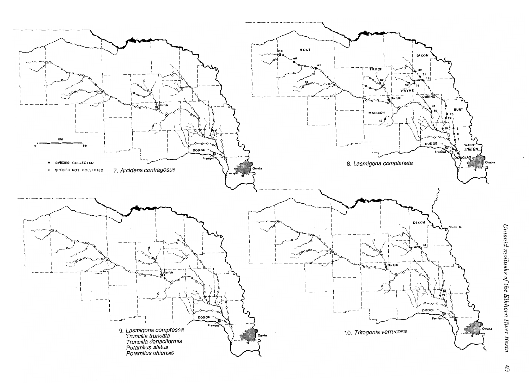

Unionid mollusks of the Elkhorn River Basin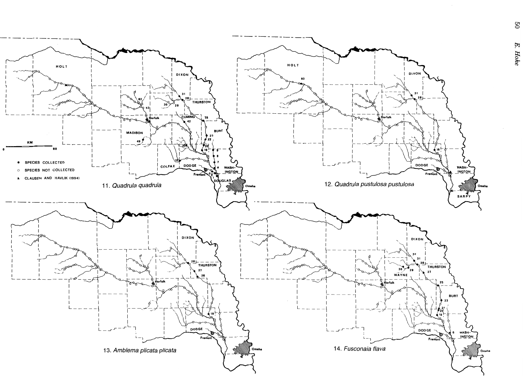HOLT HOLT DIXON DIXON  $31$  $\sqrt{\frac{281}{100}}$  $30\big>$  $\sim$  29 **CUMING** 25 **BURT MADISON**  $49<sup>6</sup>$ KM 60 · SPECIES COLLECTED **DODGE COLFAX DODGE** WASH-**WASH** SPECIES NOT COLLECTED **INGTON**  $\Omega$ Fremo ▲ CLAUSEN AND HAVLIK (1994) **JGLAS** 12. Quadrula pustulosa pustulosa 11. Quadrula quadrula Omaha **SARPY DIXON DIXON** 31  $28L$  $T$ HURSTON  $T$ HURSTON 30  $^{\bullet}$ <sub>29</sub> 27 27 26 25 **BURT**  $\texttt{DODGE}$  $\texttt{DODGE}$ WASHv Fremor Freme 14. Fusconaia flava 13. Amblema plicata plicata

90

 $E. \, Hoke$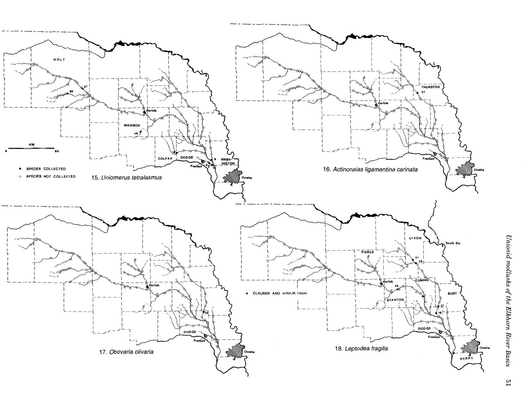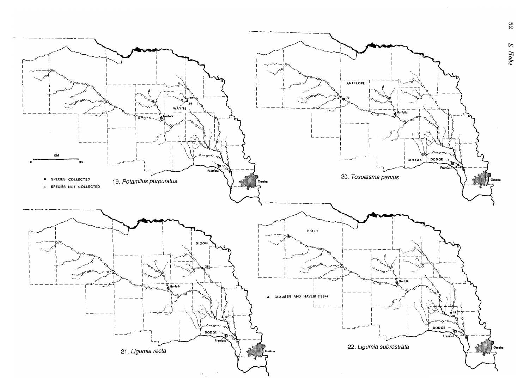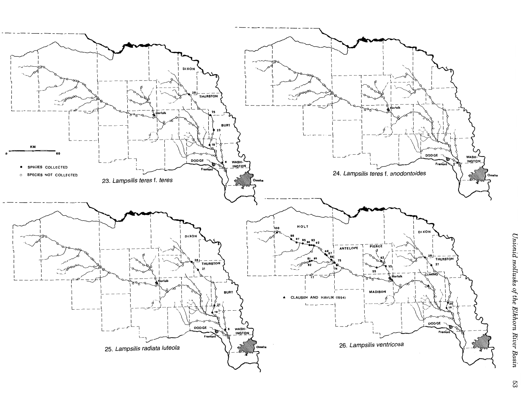